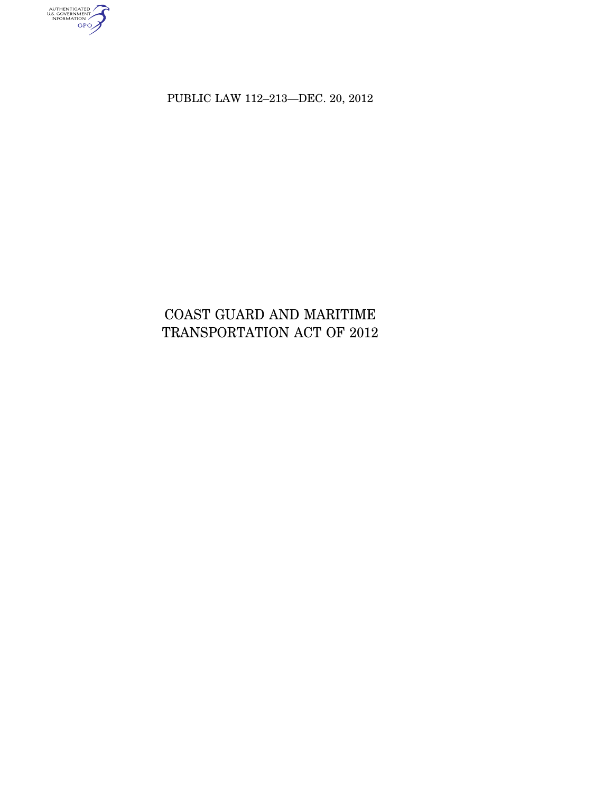AUTHENTICATED<br>U.S. GOVERNMENT<br>INFORMATION<br>GPO

PUBLIC LAW 112–213—DEC. 20, 2012

# COAST GUARD AND MARITIME TRANSPORTATION ACT OF 2012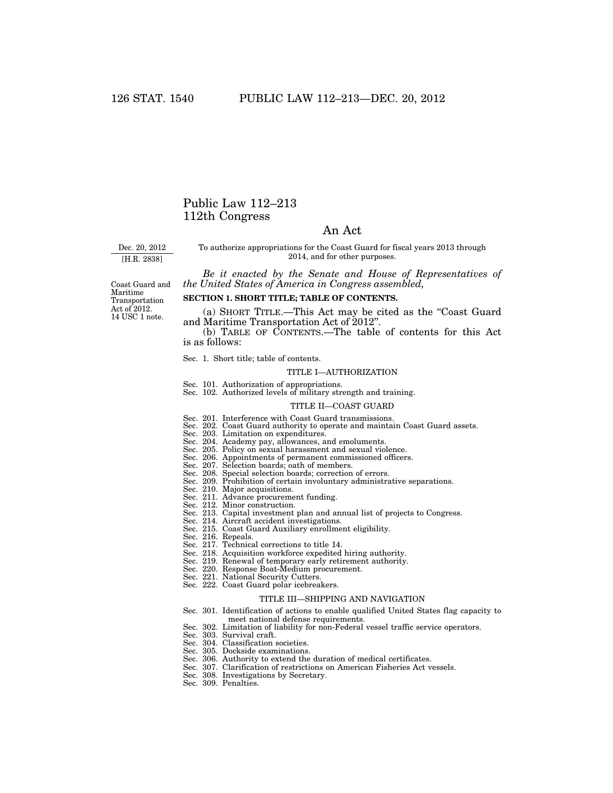# Public Law 112–213 112th Congress

# An Act

Dec. 20, 2012

[H.R. 2838]

To authorize appropriations for the Coast Guard for fiscal years 2013 through 2014, and for other purposes.

*Be it enacted by the Senate and House of Representatives of the United States of America in Congress assembled,* 

Coast Guard and Maritime Transportation Act of 2012. 14 USC 1 note.

# **SECTION 1. SHORT TITLE; TABLE OF CONTENTS.**

(a) SHORT TITLE.—This Act may be cited as the ''Coast Guard and Maritime Transportation Act of 2012''.

(b) TABLE OF CONTENTS.—The table of contents for this Act is as follows:

Sec. 1. Short title; table of contents.

#### TITLE I—AUTHORIZATION

- Sec. 101. Authorization of appropriations.
- Sec. 102. Authorized levels of military strength and training.

#### TITLE II—COAST GUARD

- Sec. 201. Interference with Coast Guard transmissions.
- Sec. 202. Coast Guard authority to operate and maintain Coast Guard assets.
- Sec. 203. Limitation on expenditures.
- 
- 
- Sec. 204. Academy pay, allowances, and emoluments. Sec. 205. Policy on sexual harassment and sexual violence. Sec. 206. Appointments of permanent commissioned officers.
- 
- Sec. 207. Selection boards; oath of members. Sec. 208. Special selection boards; correction of errors.
- Sec. 209. Prohibition of certain involuntary administrative separations. Sec. 210. Major acquisitions.
- 
- Sec. 211. Advance procurement funding. Sec. 212. Minor construction.
- 
- Sec. 213. Capital investment plan and annual list of projects to Congress. Sec. 214. Aircraft accident investigations.
- 
- Sec. 215. Coast Guard Auxiliary enrollment eligibility.
- Sec. 216. Repeals.
- Sec. 217. Technical corrections to title 14.
- Sec. 218. Acquisition workforce expedited hiring authority.
- Sec. 219. Renewal of temporary early retirement authority.
	- Sec. 220. Response Boat-Medium procurement.
- Sec. 221. National Security Cutters.
- Sec. 222. Coast Guard polar icebreakers.

#### TITLE III—SHIPPING AND NAVIGATION

- Sec. 301. Identification of actions to enable qualified United States flag capacity to meet national defense requirements.
- Sec. 302. Limitation of liability for non-Federal vessel traffic service operators.
- Sec. 303. Survival craft.
- Sec. 304. Classification societies.
- Sec. 305. Dockside examinations.
- Sec. 306. Authority to extend the duration of medical certificates.
- Sec. 307. Clarification of restrictions on American Fisheries Act vessels.
- Sec. 308. Investigations by Secretary.
- Sec. 309. Penalties.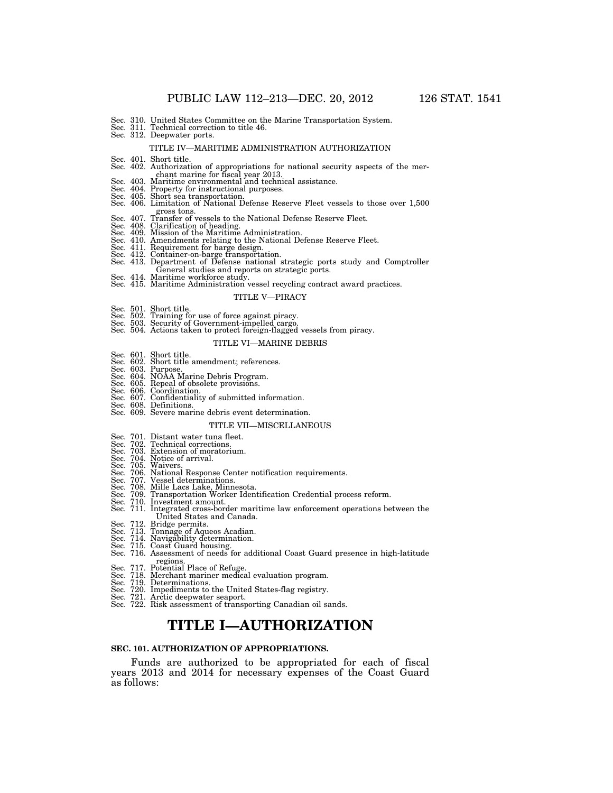- Sec. 310. United States Committee on the Marine Transportation System.
- Sec. 311. Technical correction to title 46. Sec. 312. Deepwater ports.

#### TITLE IV—MARITIME ADMINISTRATION AUTHORIZATION

- 
- Sec. 401. Short title.<br>Sec. 402. Authorization of appropriations for national security aspects of the mer-
- 
- 
- chant marine for fiscal year 2013.<br>Sec. 403. Maritime environmental and technical assistance.<br>Sec. 404. Property for instructional purposes.<br>Sec. 405. Short sea transportation.<br>Sec. 406. Limitation of National Defense Rese
- 
- 
- gross tons.<br>Sec. 407. Transfer of vessels to the National Defense Reserve Fleet.<br>Sec. 408. Clarification of heading.<br>Sec. 409. Mission of the Maritime Administration.<br>Sec. 410. Amendments relating to the National Defense R
- Sec. 411. Requirement for barge design.
- 
- Sec. 412. Container-on-barge transportation. Sec. 413. Department of Defense national strategic ports study and Comptroller
- 
- General studies and reports on strategic ports. Sec. 414. Maritime workforce study. Sec. 415. Maritime Administration vessel recycling contract award practices.

#### TITLE V—PIRACY

- 
- Sec. 501. Short title. Sec. 502. Training for use of force against piracy.
- 
- Sec. 503. Security of Government-impelled cargo. Sec. 504. Actions taken to protect foreign-flagged vessels from piracy.

#### TITLE VI—MARINE DEBRIS

- Sec. 601. Short title.
- Sec. 602. Short title amendment; references. Sec. 603. Purpose. Sec. 604. NOAA Marine Debris Program. Sec. 605. Repeal of obsolete provisions.
- 
- 
- Sec. 606. Coordination.
- Sec. 607. Confidentiality of submitted information. Sec. 608. Definitions.
- 
- Sec. 609. Severe marine debris event determination.

#### TITLE VII—MISCELLANEOUS

- 
- Sec. 701. Distant water tuna fleet. Sec. 702. Technical corrections.
- 
- 
- 
- Sec. 703. Extension of moratorium. Sec. 704. Notice of arrival. Sec. 705. Waivers. Sec. 706. National Response Center notification requirements. Sec. 707. Vessel determinations.
- 
- 
- Sec. 708. Mille Lacs Lake, Minnesota. Sec. 709. Transportation Worker Identification Credential process reform.
- Sec. 710. Investment amount. Sec. 711. Integrated cross-border maritime law enforcement operations between the United States and Canada.
- 
- 
- 
- 
- Sec. 712. Bridge permits. Sec. 713. Tonnage of Aqueos Acadian. Sec. 714. Navigability determination. Sec. 715. Coast Guard housing. Sec. 716. Assessment of needs for additional Coast Guard presence in high-latitude regions.<br>Sec. 717. Potential Place of Refuge.
- 
- 
- 
- Sec. 718. Merchant mariner medical evaluation program. Sec. 719. Determinations. Sec. 720. Impediments to the United States-flag registry. Sec. 721. Arctic deepwater seaport.
- Sec. 722. Risk assessment of transporting Canadian oil sands.

# **TITLE I—AUTHORIZATION**

#### **SEC. 101. AUTHORIZATION OF APPROPRIATIONS.**

Funds are authorized to be appropriated for each of fiscal years 2013 and 2014 for necessary expenses of the Coast Guard as follows: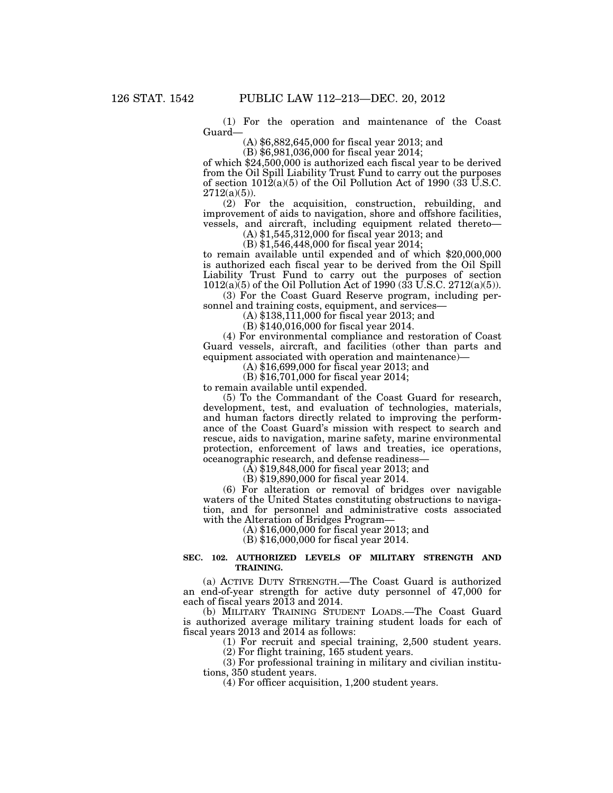(1) For the operation and maintenance of the Coast Guard—

(A) \$6,882,645,000 for fiscal year 2013; and

(B) \$6,981,036,000 for fiscal year 2014;

of which \$24,500,000 is authorized each fiscal year to be derived from the Oil Spill Liability Trust Fund to carry out the purposes of section  $1012(a)(5)$  of the Oil Pollution Act of 1990 (33 U.S.C.  $2712(a)(5)$ ).

(2) For the acquisition, construction, rebuilding, and improvement of aids to navigation, shore and offshore facilities, vessels, and aircraft, including equipment related thereto—

(A) \$1,545,312,000 for fiscal year 2013; and

(B) \$1,546,448,000 for fiscal year 2014; to remain available until expended and of which \$20,000,000 is authorized each fiscal year to be derived from the Oil Spill Liability Trust Fund to carry out the purposes of section 1012(a)(5) of the Oil Pollution Act of 1990 (33 U.S.C. 2712(a)(5)).

(3) For the Coast Guard Reserve program, including personnel and training costs, equipment, and services—

(A) \$138,111,000 for fiscal year 2013; and

(B) \$140,016,000 for fiscal year 2014.

(4) For environmental compliance and restoration of Coast Guard vessels, aircraft, and facilities (other than parts and equipment associated with operation and maintenance)—

(A) \$16,699,000 for fiscal year 2013; and

(B) \$16,701,000 for fiscal year 2014;

to remain available until expended.

(5) To the Commandant of the Coast Guard for research, development, test, and evaluation of technologies, materials, and human factors directly related to improving the performance of the Coast Guard's mission with respect to search and rescue, aids to navigation, marine safety, marine environmental protection, enforcement of laws and treaties, ice operations, oceanographic research, and defense readiness—

 $(A)$  \$19,848,000 for fiscal year 2013; and

(B) \$19,890,000 for fiscal year 2014.

(6) For alteration or removal of bridges over navigable waters of the United States constituting obstructions to navigation, and for personnel and administrative costs associated with the Alteration of Bridges Program—

(A) \$16,000,000 for fiscal year 2013; and

(B) \$16,000,000 for fiscal year 2014.

### **SEC. 102. AUTHORIZED LEVELS OF MILITARY STRENGTH AND TRAINING.**

(a) ACTIVE DUTY STRENGTH.—The Coast Guard is authorized an end-of-year strength for active duty personnel of 47,000 for each of fiscal years 2013 and 2014.

(b) MILITARY TRAINING STUDENT LOADS.—The Coast Guard is authorized average military training student loads for each of fiscal years 2013 and 2014 as follows:

(1) For recruit and special training, 2,500 student years.

(2) For flight training, 165 student years.

(3) For professional training in military and civilian institutions, 350 student years.

(4) For officer acquisition, 1,200 student years.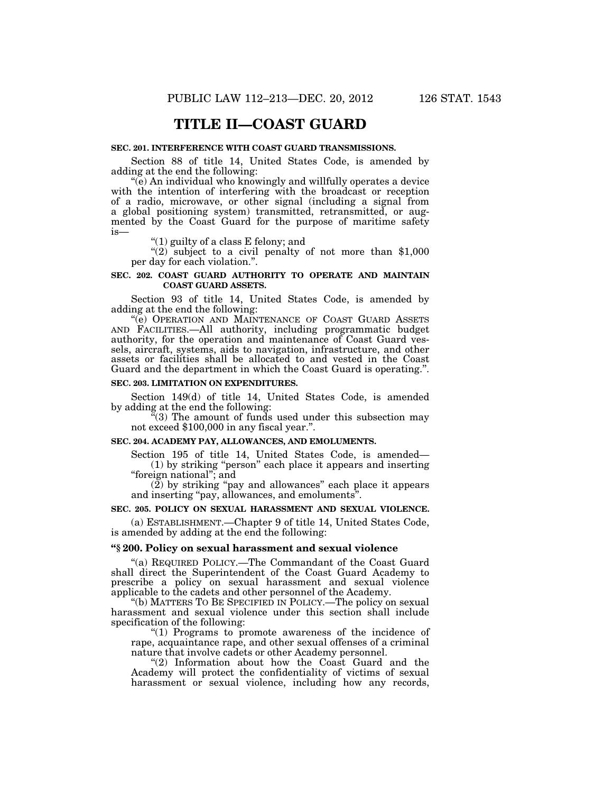# **TITLE II—COAST GUARD**

#### **SEC. 201. INTERFERENCE WITH COAST GUARD TRANSMISSIONS.**

Section 88 of title 14, United States Code, is amended by adding at the end the following:

''(e) An individual who knowingly and willfully operates a device with the intention of interfering with the broadcast or reception of a radio, microwave, or other signal (including a signal from a global positioning system) transmitted, retransmitted, or augmented by the Coast Guard for the purpose of maritime safety is—

''(1) guilty of a class E felony; and

"(2) subject to a civil penalty of not more than  $$1,000$ per day for each violation.''.

# **SEC. 202. COAST GUARD AUTHORITY TO OPERATE AND MAINTAIN COAST GUARD ASSETS.**

Section 93 of title 14, United States Code, is amended by adding at the end the following:

''(e) OPERATION AND MAINTENANCE OF COAST GUARD ASSETS AND FACILITIES.—All authority, including programmatic budget authority, for the operation and maintenance of Coast Guard vessels, aircraft, systems, aids to navigation, infrastructure, and other assets or facilities shall be allocated to and vested in the Coast Guard and the department in which the Coast Guard is operating.''.

#### **SEC. 203. LIMITATION ON EXPENDITURES.**

Section 149(d) of title 14, United States Code, is amended by adding at the end the following:

 $^{4}(3)$  The amount of funds used under this subsection may not exceed \$100,000 in any fiscal year.".

#### **SEC. 204. ACADEMY PAY, ALLOWANCES, AND EMOLUMENTS.**

Section 195 of title 14, United States Code, is amended— (1) by striking ''person'' each place it appears and inserting ''foreign national''; and

(2) by striking ''pay and allowances'' each place it appears and inserting ''pay, allowances, and emoluments''.

#### **SEC. 205. POLICY ON SEXUAL HARASSMENT AND SEXUAL VIOLENCE.**

(a) ESTABLISHMENT.—Chapter 9 of title 14, United States Code, is amended by adding at the end the following:

# **''§ 200. Policy on sexual harassment and sexual violence**

''(a) REQUIRED POLICY.—The Commandant of the Coast Guard shall direct the Superintendent of the Coast Guard Academy to prescribe a policy on sexual harassment and sexual violence applicable to the cadets and other personnel of the Academy.

''(b) MATTERS TO BE SPECIFIED IN POLICY.—The policy on sexual harassment and sexual violence under this section shall include specification of the following:

"(1) Programs to promote awareness of the incidence of rape, acquaintance rape, and other sexual offenses of a criminal nature that involve cadets or other Academy personnel.

"(2) Information about how the Coast Guard and the Academy will protect the confidentiality of victims of sexual harassment or sexual violence, including how any records,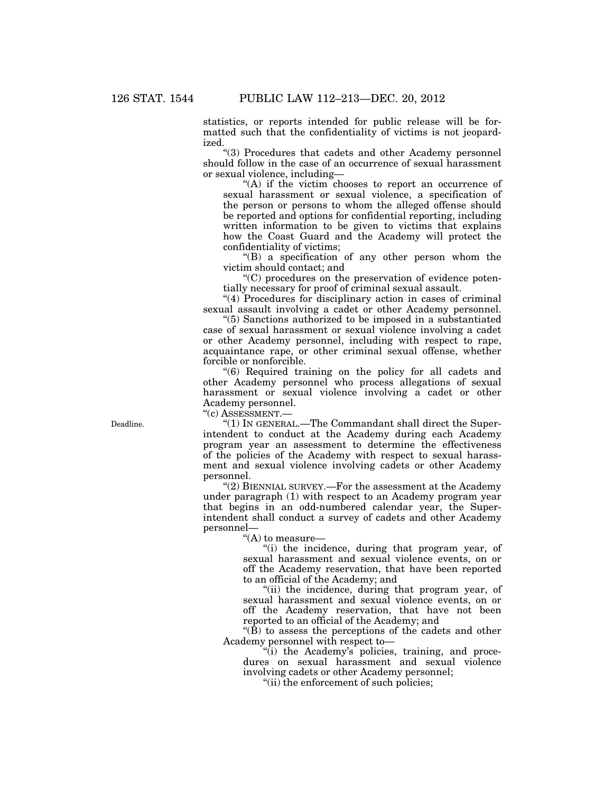statistics, or reports intended for public release will be formatted such that the confidentiality of victims is not jeopardized.

''(3) Procedures that cadets and other Academy personnel should follow in the case of an occurrence of sexual harassment or sexual violence, including—

"(A) if the victim chooses to report an occurrence of sexual harassment or sexual violence, a specification of the person or persons to whom the alleged offense should be reported and options for confidential reporting, including written information to be given to victims that explains how the Coast Guard and the Academy will protect the confidentiality of victims;

''(B) a specification of any other person whom the victim should contact; and

''(C) procedures on the preservation of evidence potentially necessary for proof of criminal sexual assault.

''(4) Procedures for disciplinary action in cases of criminal sexual assault involving a cadet or other Academy personnel.

''(5) Sanctions authorized to be imposed in a substantiated case of sexual harassment or sexual violence involving a cadet or other Academy personnel, including with respect to rape, acquaintance rape, or other criminal sexual offense, whether forcible or nonforcible.

''(6) Required training on the policy for all cadets and other Academy personnel who process allegations of sexual harassment or sexual violence involving a cadet or other Academy personnel.

''(c) ASSESSMENT.—

''(1) IN GENERAL.—The Commandant shall direct the Superintendent to conduct at the Academy during each Academy program year an assessment to determine the effectiveness of the policies of the Academy with respect to sexual harassment and sexual violence involving cadets or other Academy personnel.

"(2) BIENNIAL SURVEY.—For the assessment at the Academy under paragraph (1) with respect to an Academy program year that begins in an odd-numbered calendar year, the Superintendent shall conduct a survey of cadets and other Academy personnel—

''(A) to measure—

''(i) the incidence, during that program year, of sexual harassment and sexual violence events, on or off the Academy reservation, that have been reported to an official of the Academy; and

"(ii) the incidence, during that program year, of sexual harassment and sexual violence events, on or off the Academy reservation, that have not been reported to an official of the Academy; and

" $(\bar{B})$  to assess the perceptions of the cadets and other Academy personnel with respect to—

"(i) the Academy's policies, training, and procedures on sexual harassment and sexual violence involving cadets or other Academy personnel;

"(ii) the enforcement of such policies;

Deadline.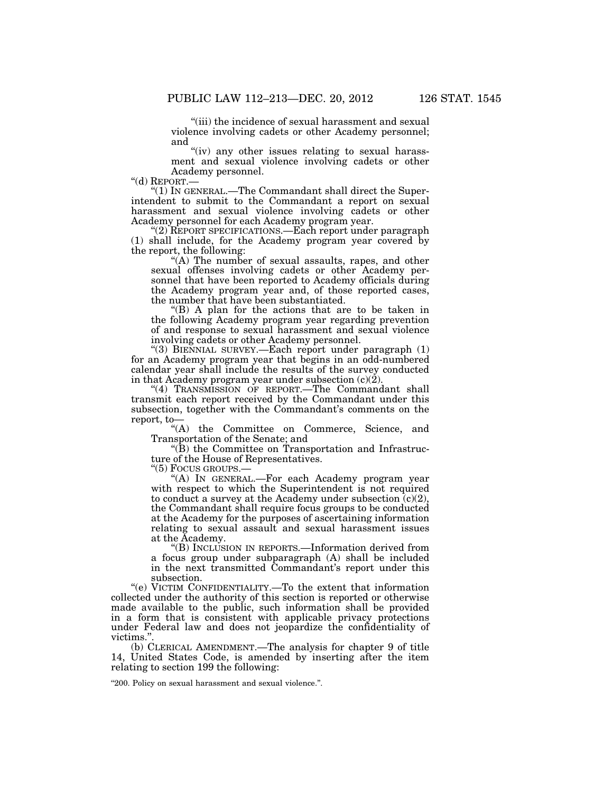''(iii) the incidence of sexual harassment and sexual violence involving cadets or other Academy personnel; and

"(iv) any other issues relating to sexual harassment and sexual violence involving cadets or other Academy personnel.<br>"(d) REPORT.—

" $(1)$  In GENERAL.—The Commandant shall direct the Superintendent to submit to the Commandant a report on sexual harassment and sexual violence involving cadets or other Academy personnel for each Academy program year.

''(2) REPORT SPECIFICATIONS.—Each report under paragraph (1) shall include, for the Academy program year covered by the report, the following:

"(A) The number of sexual assaults, rapes, and other sexual offenses involving cadets or other Academy personnel that have been reported to Academy officials during the Academy program year and, of those reported cases, the number that have been substantiated.

''(B) A plan for the actions that are to be taken in the following Academy program year regarding prevention of and response to sexual harassment and sexual violence involving cadets or other Academy personnel.

''(3) BIENNIAL SURVEY.—Each report under paragraph (1) for an Academy program year that begins in an odd-numbered calendar year shall include the results of the survey conducted in that Academy program year under subsection  $(c)(2)$ .

"(4) TRANSMISSION OF REPORT.—The Commandant shall transmit each report received by the Commandant under this subsection, together with the Commandant's comments on the report, to—

''(A) the Committee on Commerce, Science, and Transportation of the Senate; and

''(B) the Committee on Transportation and Infrastructure of the House of Representatives.<br>"(5) Focus GROUPS.—

"(A) IN GENERAL.—For each Academy program year with respect to which the Superintendent is not required to conduct a survey at the Academy under subsection  $(c)(2)$ , the Commandant shall require focus groups to be conducted at the Academy for the purposes of ascertaining information relating to sexual assault and sexual harassment issues at the Academy.

''(B) INCLUSION IN REPORTS.—Information derived from a focus group under subparagraph (A) shall be included in the next transmitted Commandant's report under this subsection.

''(e) VICTIM CONFIDENTIALITY.—To the extent that information collected under the authority of this section is reported or otherwise made available to the public, such information shall be provided in a form that is consistent with applicable privacy protections under Federal law and does not jeopardize the confidentiality of victims."

(b) CLERICAL AMENDMENT.—The analysis for chapter 9 of title 14, United States Code, is amended by inserting after the item relating to section 199 the following:

''200. Policy on sexual harassment and sexual violence.''.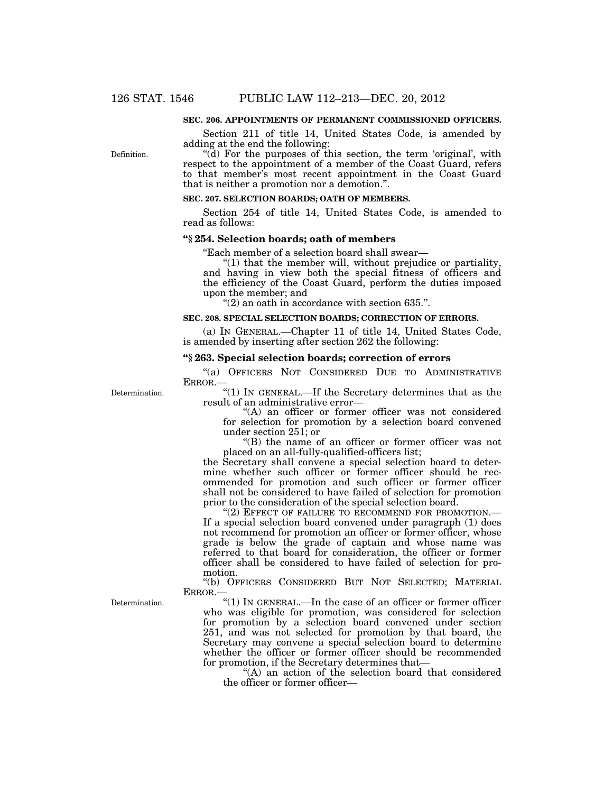Definition.

#### **SEC. 206. APPOINTMENTS OF PERMANENT COMMISSIONED OFFICERS.**

Section 211 of title 14, United States Code, is amended by adding at the end the following:

"(d) For the purposes of this section, the term 'original', with respect to the appointment of a member of the Coast Guard, refers to that member's most recent appointment in the Coast Guard that is neither a promotion nor a demotion.''.

# **SEC. 207. SELECTION BOARDS; OATH OF MEMBERS.**

Section 254 of title 14, United States Code, is amended to read as follows:

#### **''§ 254. Selection boards; oath of members**

''Each member of a selection board shall swear—

''(1) that the member will, without prejudice or partiality, and having in view both the special fitness of officers and the efficiency of the Coast Guard, perform the duties imposed upon the member; and

" $(2)$  an oath in accordance with section 635.".

#### **SEC. 208. SPECIAL SELECTION BOARDS; CORRECTION OF ERRORS.**

(a) IN GENERAL.—Chapter 11 of title 14, United States Code, is amended by inserting after section 262 the following:

#### **''§ 263. Special selection boards; correction of errors**

"(a) OFFICERS NOT CONSIDERED DUE TO ADMINISTRATIVE ERROR.—

"(1) IN GENERAL.—If the Secretary determines that as the  $\,$ result of an administrative error—

> "(A) an officer or former officer was not considered for selection for promotion by a selection board convened under section 251; or

> ''(B) the name of an officer or former officer was not placed on an all-fully-qualified-officers list;

the Secretary shall convene a special selection board to determine whether such officer or former officer should be recommended for promotion and such officer or former officer shall not be considered to have failed of selection for promotion prior to the consideration of the special selection board.

"(2) EFFECT OF FAILURE TO RECOMMEND FOR PROMOTION.— If a special selection board convened under paragraph (1) does not recommend for promotion an officer or former officer, whose grade is below the grade of captain and whose name was referred to that board for consideration, the officer or former officer shall be considered to have failed of selection for promotion.

''(b) OFFICERS CONSIDERED BUT NOT SELECTED; MATERIAL ERROR.—

''(1) IN GENERAL.—In the case of an officer or former officer who was eligible for promotion, was considered for selection for promotion by a selection board convened under section 251, and was not selected for promotion by that board, the Secretary may convene a special selection board to determine whether the officer or former officer should be recommended for promotion, if the Secretary determines that—

"(A) an action of the selection board that considered the officer or former officer—

Determination.

Determination.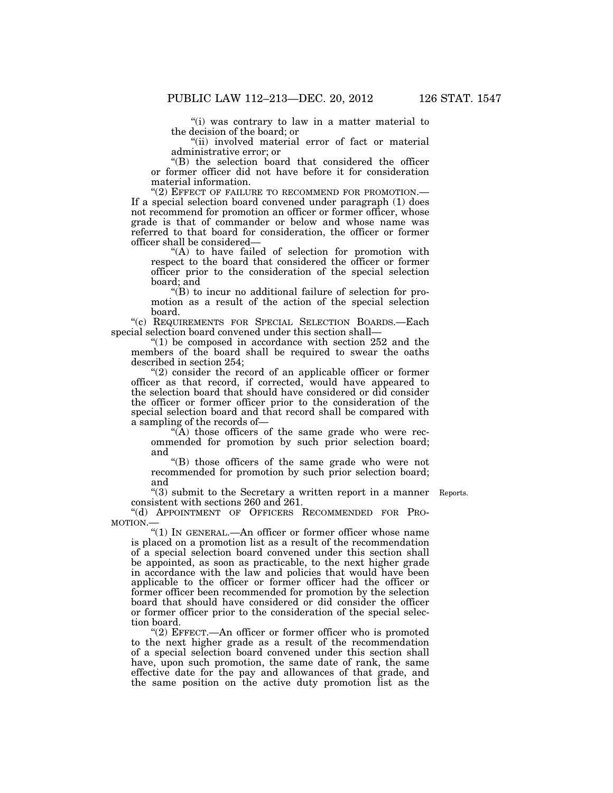''(i) was contrary to law in a matter material to the decision of the board; or

"(ii) involved material error of fact or material administrative error; or

''(B) the selection board that considered the officer or former officer did not have before it for consideration material information.<br>"(2) EFFECT OF FAILURE TO RECOMMEND FOR PROMOTION.—

If a special selection board convened under paragraph  $(1)$  does not recommend for promotion an officer or former officer, whose grade is that of commander or below and whose name was referred to that board for consideration, the officer or former officer shall be considered—

"(A) to have failed of selection for promotion with respect to the board that considered the officer or former officer prior to the consideration of the special selection board; and

 $\mathrm{``(B)}$  to incur no additional failure of selection for promotion as a result of the action of the special selection board.

''(c) REQUIREMENTS FOR SPECIAL SELECTION BOARDS.—Each special selection board convened under this section shall—

" $(1)$  be composed in accordance with section 252 and the members of the board shall be required to swear the oaths described in section 254;

"(2) consider the record of an applicable officer or former officer as that record, if corrected, would have appeared to the selection board that should have considered or did consider the officer or former officer prior to the consideration of the special selection board and that record shall be compared with a sampling of the records of—

 $\widetilde{H}(A)$  those officers of the same grade who were recommended for promotion by such prior selection board; and

''(B) those officers of the same grade who were not recommended for promotion by such prior selection board; and

"(3) submit to the Secretary a written report in a manner Reports. consistent with sections 260 and 261.

''(d) APPOINTMENT OF OFFICERS RECOMMENDED FOR PRO-MOTION.—

''(1) IN GENERAL.—An officer or former officer whose name is placed on a promotion list as a result of the recommendation of a special selection board convened under this section shall be appointed, as soon as practicable, to the next higher grade in accordance with the law and policies that would have been applicable to the officer or former officer had the officer or former officer been recommended for promotion by the selection board that should have considered or did consider the officer or former officer prior to the consideration of the special selection board.

"(2) EFFECT.—An officer or former officer who is promoted to the next higher grade as a result of the recommendation of a special selection board convened under this section shall have, upon such promotion, the same date of rank, the same effective date for the pay and allowances of that grade, and the same position on the active duty promotion list as the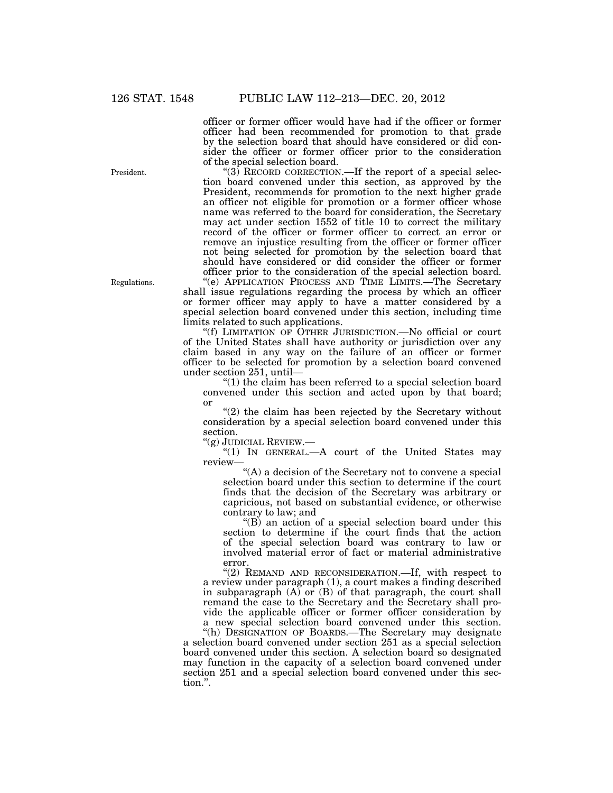officer or former officer would have had if the officer or former officer had been recommended for promotion to that grade by the selection board that should have considered or did consider the officer or former officer prior to the consideration of the special selection board.

" $(3)$  RECORD CORRECTION.—If the report of a special selection board convened under this section, as approved by the President, recommends for promotion to the next higher grade an officer not eligible for promotion or a former officer whose name was referred to the board for consideration, the Secretary may act under section 1552 of title 10 to correct the military record of the officer or former officer to correct an error or remove an injustice resulting from the officer or former officer not being selected for promotion by the selection board that should have considered or did consider the officer or former officer prior to the consideration of the special selection board.

''(e) APPLICATION PROCESS AND TIME LIMITS.—The Secretary shall issue regulations regarding the process by which an officer or former officer may apply to have a matter considered by a special selection board convened under this section, including time limits related to such applications.

''(f) LIMITATION OF OTHER JURISDICTION.—No official or court of the United States shall have authority or jurisdiction over any claim based in any way on the failure of an officer or former officer to be selected for promotion by a selection board convened under section 251, until—

 $''(1)$  the claim has been referred to a special selection board convened under this section and acted upon by that board; or

 $(2)$  the claim has been rejected by the Secretary without consideration by a special selection board convened under this section.

''(g) JUDICIAL REVIEW.—

" $(1)$  In GENERAL.—A court of the United States may review—

''(A) a decision of the Secretary not to convene a special selection board under this section to determine if the court finds that the decision of the Secretary was arbitrary or capricious, not based on substantial evidence, or otherwise contrary to law; and

''(B) an action of a special selection board under this section to determine if the court finds that the action of the special selection board was contrary to law or involved material error of fact or material administrative error.

"(2) REMAND AND RECONSIDERATION.—If, with respect to a review under paragraph (1), a court makes a finding described in subparagraph  $(A)$  or  $(B)$  of that paragraph, the court shall remand the case to the Secretary and the Secretary shall provide the applicable officer or former officer consideration by a new special selection board convened under this section.

"(h) DESIGNATION OF BOARDS.—The Secretary may designate a selection board convened under section 251 as a special selection board convened under this section. A selection board so designated may function in the capacity of a selection board convened under section 251 and a special selection board convened under this section.''.

President.

Regulations.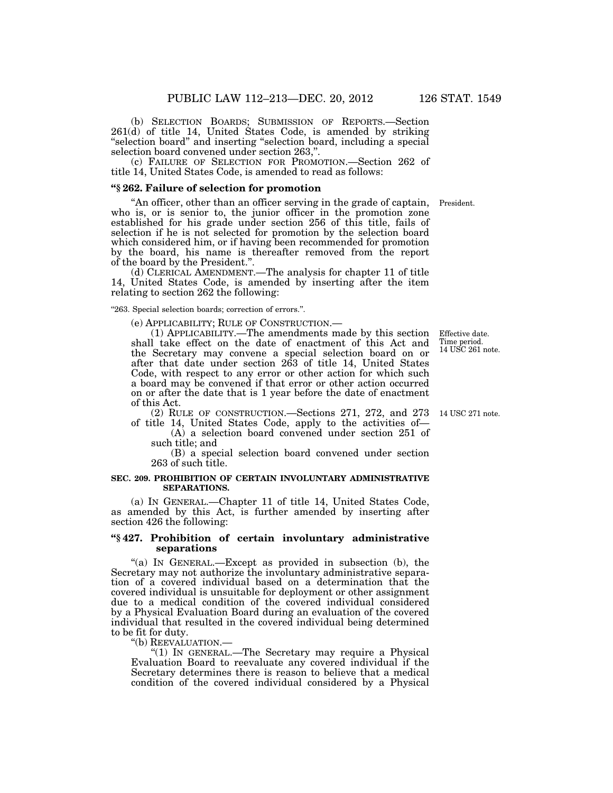(b) SELECTION BOARDS; SUBMISSION OF REPORTS.—Section 261(d) of title 14, United States Code, is amended by striking ''selection board'' and inserting ''selection board, including a special selection board convened under section 263,''.

(c) FAILURE OF SELECTION FOR PROMOTION.—Section 262 of title 14, United States Code, is amended to read as follows:

#### **''§ 262. Failure of selection for promotion**

''An officer, other than an officer serving in the grade of captain, who is, or is senior to, the junior officer in the promotion zone established for his grade under section 256 of this title, fails of selection if he is not selected for promotion by the selection board which considered him, or if having been recommended for promotion by the board, his name is thereafter removed from the report of the board by the President.''.

(d) CLERICAL AMENDMENT.—The analysis for chapter 11 of title 14, United States Code, is amended by inserting after the item relating to section 262 the following:

#### "263. Special selection boards; correction of errors.".

(e) APPLICABILITY; RULE OF CONSTRUCTION.—

(1) APPLICABILITY.—The amendments made by this section shall take effect on the date of enactment of this Act and the Secretary may convene a special selection board on or after that date under section 263 of title 14, United States Code, with respect to any error or other action for which such a board may be convened if that error or other action occurred on or after the date that is 1 year before the date of enactment of this Act.

(2) RULE OF CONSTRUCTION.—Sections 271, 272, and 273 14 USC 271 note. of title 14, United States Code, apply to the activities of—

(A) a selection board convened under section 251 of such title; and

(B) a special selection board convened under section 263 of such title.

#### **SEC. 209. PROHIBITION OF CERTAIN INVOLUNTARY ADMINISTRATIVE SEPARATIONS.**

(a) IN GENERAL.—Chapter 11 of title 14, United States Code, as amended by this Act, is further amended by inserting after section 426 the following:

#### **''§ 427. Prohibition of certain involuntary administrative separations**

''(a) IN GENERAL.—Except as provided in subsection (b), the Secretary may not authorize the involuntary administrative separation of a covered individual based on a determination that the covered individual is unsuitable for deployment or other assignment due to a medical condition of the covered individual considered by a Physical Evaluation Board during an evaluation of the covered individual that resulted in the covered individual being determined to be fit for duty.

''(b) REEVALUATION.—

''(1) IN GENERAL.—The Secretary may require a Physical Evaluation Board to reevaluate any covered individual if the Secretary determines there is reason to believe that a medical condition of the covered individual considered by a Physical

Effective date. Time period. 14 USC 261 note.

President.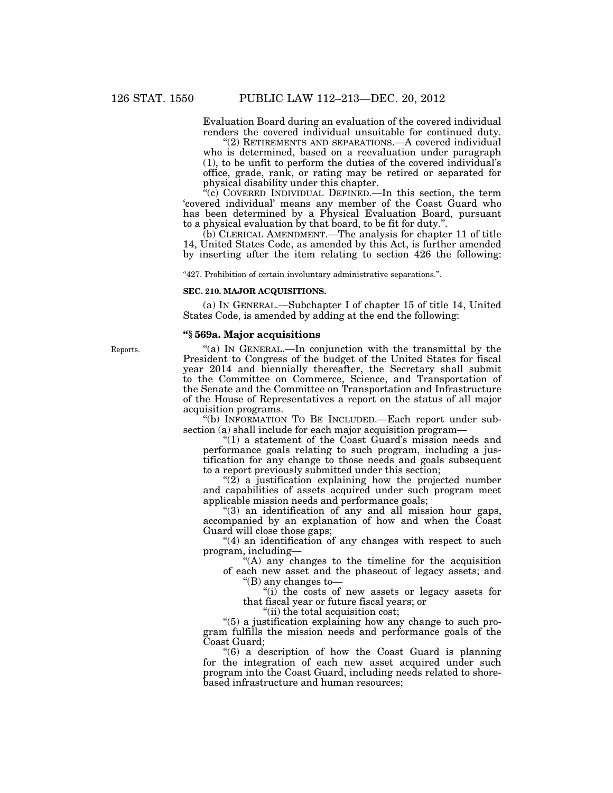Evaluation Board during an evaluation of the covered individual renders the covered individual unsuitable for continued duty.

"(2) RETIREMENTS AND SEPARATIONS.—A covered individual who is determined, based on a reevaluation under paragraph (1), to be unfit to perform the duties of the covered individual's office, grade, rank, or rating may be retired or separated for physical disability under this chapter.

 $\hat{f}(c)$  COVERED INDIVIDUAL DEFINED.—In this section, the term 'covered individual' means any member of the Coast Guard who has been determined by a Physical Evaluation Board, pursuant to a physical evaluation by that board, to be fit for duty.''.

(b) CLERICAL AMENDMENT.—The analysis for chapter 11 of title 14, United States Code, as amended by this Act, is further amended by inserting after the item relating to section 426 the following:

''427. Prohibition of certain involuntary administrative separations.''.

#### **SEC. 210. MAJOR ACQUISITIONS.**

(a) IN GENERAL.—Subchapter I of chapter 15 of title 14, United States Code, is amended by adding at the end the following:

#### **''§ 569a. Major acquisitions**

''(a) IN GENERAL.—In conjunction with the transmittal by the President to Congress of the budget of the United States for fiscal year 2014 and biennially thereafter, the Secretary shall submit to the Committee on Commerce, Science, and Transportation of the Senate and the Committee on Transportation and Infrastructure of the House of Representatives a report on the status of all major acquisition programs.

''(b) INFORMATION TO BE INCLUDED.—Each report under subsection (a) shall include for each major acquisition program—

" $(1)$  a statement of the Coast Guard's mission needs and performance goals relating to such program, including a justification for any change to those needs and goals subsequent to a report previously submitted under this section;

" $(2)$  a justification explaining how the projected number and capabilities of assets acquired under such program meet applicable mission needs and performance goals;

 $\degree$ (3) an identification of any and all mission hour gaps, accompanied by an explanation of how and when the Coast Guard will close those gaps;

''(4) an identification of any changes with respect to such program, including—

"(A) any changes to the timeline for the acquisition of each new asset and the phaseout of legacy assets; and

''(B) any changes to—

''(i) the costs of new assets or legacy assets for that fiscal year or future fiscal years; or

"(ii) the total acquisition cost;

''(5) a justification explaining how any change to such program fulfills the mission needs and performance goals of the Coast Guard;

''(6) a description of how the Coast Guard is planning for the integration of each new asset acquired under such program into the Coast Guard, including needs related to shorebased infrastructure and human resources;

Reports.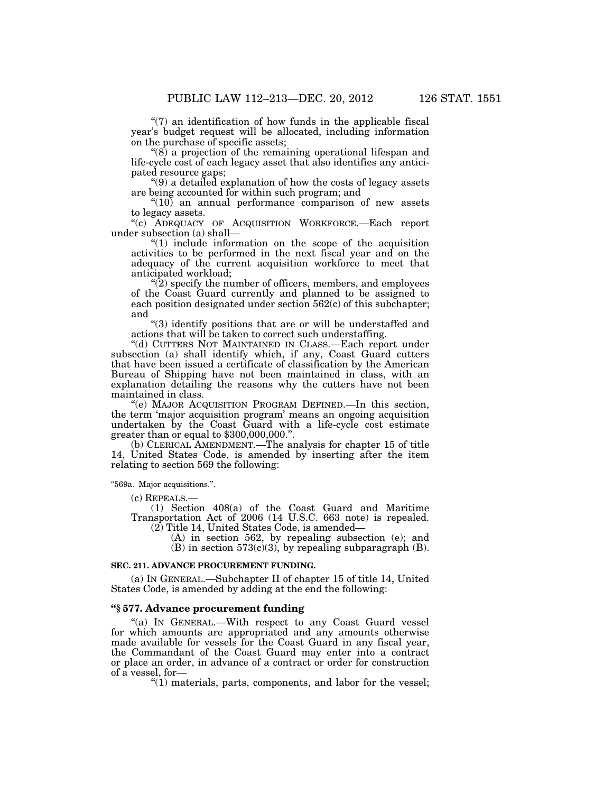$''(7)$  an identification of how funds in the applicable fiscal year's budget request will be allocated, including information on the purchase of specific assets;

 $\degree$ (8) a projection of the remaining operational lifespan and life-cycle cost of each legacy asset that also identifies any anticipated resource gaps;

''(9) a detailed explanation of how the costs of legacy assets are being accounted for within such program; and

 $\degree(10)$  an annual performance comparison of new assets to legacy assets.

''(c) ADEQUACY OF ACQUISITION WORKFORCE.—Each report under subsection (a) shall—

 $(1)$  include information on the scope of the acquisition activities to be performed in the next fiscal year and on the adequacy of the current acquisition workforce to meet that anticipated workload;

 $\sqrt{\left(2\right)}$  specify the number of officers, members, and employees of the Coast Guard currently and planned to be assigned to each position designated under section 562(c) of this subchapter; and

''(3) identify positions that are or will be understaffed and actions that will be taken to correct such understaffing.

''(d) CUTTERS NOT MAINTAINED IN CLASS.—Each report under subsection (a) shall identify which, if any, Coast Guard cutters that have been issued a certificate of classification by the American Bureau of Shipping have not been maintained in class, with an explanation detailing the reasons why the cutters have not been maintained in class.

''(e) MAJOR ACQUISITION PROGRAM DEFINED.—In this section, the term 'major acquisition program' means an ongoing acquisition undertaken by the Coast Guard with a life-cycle cost estimate greater than or equal to \$300,000,000.''.

(b) CLERICAL AMENDMENT.—The analysis for chapter 15 of title 14, United States Code, is amended by inserting after the item relating to section 569 the following:

''569a. Major acquisitions.''.

(c) REPEALS.—

(1) Section 408(a) of the Coast Guard and Maritime Transportation Act of 2006 (14 U.S.C. 663 note) is repealed. (2) Title 14, United States Code, is amended—

(A) in section 562, by repealing subsection (e); and

 $(B)$  in section 573 $(c)(3)$ , by repealing subparagraph  $(B)$ .

#### **SEC. 211. ADVANCE PROCUREMENT FUNDING.**

(a) IN GENERAL.—Subchapter II of chapter 15 of title 14, United States Code, is amended by adding at the end the following:

# **''§ 577. Advance procurement funding**

"(a) IN GENERAL.—With respect to any Coast Guard vessel for which amounts are appropriated and any amounts otherwise made available for vessels for the Coast Guard in any fiscal year, the Commandant of the Coast Guard may enter into a contract or place an order, in advance of a contract or order for construction of a vessel, for—

 $''(1)$  materials, parts, components, and labor for the vessel;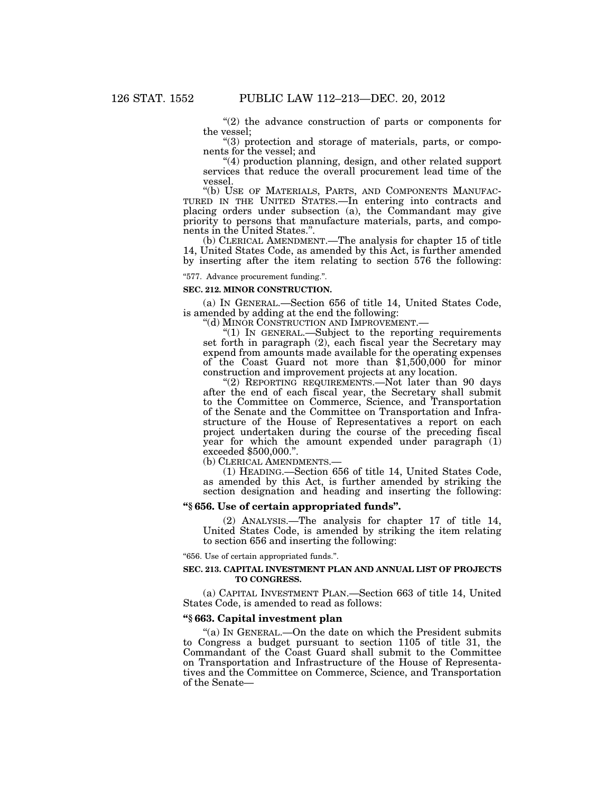$(2)$  the advance construction of parts or components for the vessel;

''(3) protection and storage of materials, parts, or components for the vessel; and

''(4) production planning, design, and other related support services that reduce the overall procurement lead time of the vessel.

"(b) USE OF MATERIALS, PARTS, AND COMPONENTS MANUFAC-TURED IN THE UNITED STATES.—In entering into contracts and placing orders under subsection (a), the Commandant may give priority to persons that manufacture materials, parts, and components in the United States.''.

(b) CLERICAL AMENDMENT.—The analysis for chapter 15 of title 14, United States Code, as amended by this Act, is further amended by inserting after the item relating to section 576 the following:

''577. Advance procurement funding.''.

#### **SEC. 212. MINOR CONSTRUCTION.**

(a) IN GENERAL.—Section 656 of title 14, United States Code, is amended by adding at the end the following:<br>"(d) MINOR CONSTRUCTION AND IMPROVEMENT.

"(1) IN GENERAL.—Subject to the reporting requirements set forth in paragraph (2), each fiscal year the Secretary may expend from amounts made available for the operating expenses of the Coast Guard not more than \$1,500,000 for minor construction and improvement projects at any location.

" $(2)$  REPORTING REQUIREMENTS.—Not later than 90 days after the end of each fiscal year, the Secretary shall submit to the Committee on Commerce, Science, and Transportation of the Senate and the Committee on Transportation and Infrastructure of the House of Representatives a report on each project undertaken during the course of the preceding fiscal year for which the amount expended under paragraph (1) exceeded \$500,000.".<br>(b) CLERICAL AMENDMENTS.-

 $(1)$  HEADING.—Section 656 of title 14, United States Code, as amended by this Act, is further amended by striking the section designation and heading and inserting the following:

# **''§ 656. Use of certain appropriated funds''.**

(2) ANALYSIS.—The analysis for chapter 17 of title 14, United States Code, is amended by striking the item relating to section 656 and inserting the following:

''656. Use of certain appropriated funds.''.

#### **SEC. 213. CAPITAL INVESTMENT PLAN AND ANNUAL LIST OF PROJECTS TO CONGRESS.**

(a) CAPITAL INVESTMENT PLAN.—Section 663 of title 14, United States Code, is amended to read as follows:

#### **''§ 663. Capital investment plan**

"(a) IN GENERAL.—On the date on which the President submits to Congress a budget pursuant to section 1105 of title 31, the Commandant of the Coast Guard shall submit to the Committee on Transportation and Infrastructure of the House of Representatives and the Committee on Commerce, Science, and Transportation of the Senate—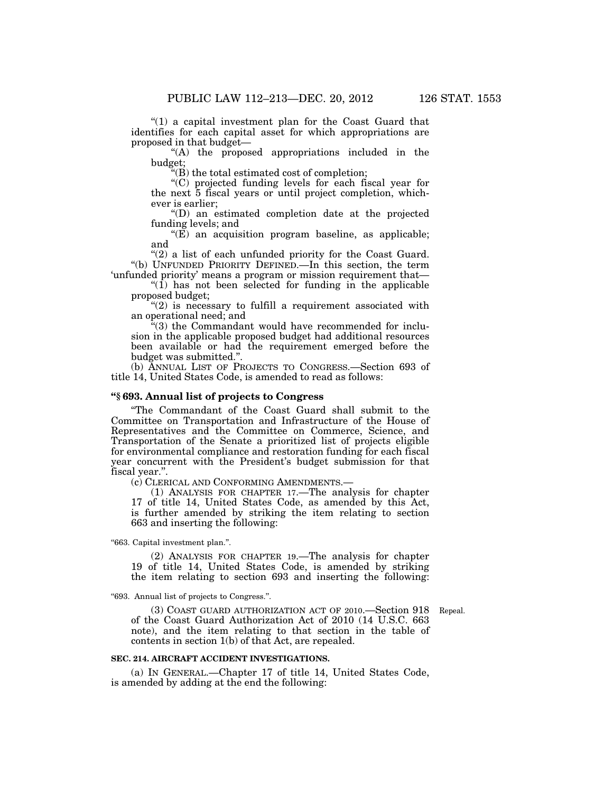"(1) a capital investment plan for the Coast Guard that identifies for each capital asset for which appropriations are proposed in that budget—

"(A) the proposed appropriations included in the budget;

''(B) the total estimated cost of completion;

''(C) projected funding levels for each fiscal year for the next 5 fiscal years or until project completion, whichever is earlier;

''(D) an estimated completion date at the projected funding levels; and

 $(E)$  an acquisition program baseline, as applicable; and

 $(2)$  a list of each unfunded priority for the Coast Guard. ''(b) UNFUNDED PRIORITY DEFINED.—In this section, the term 'unfunded priority' means a program or mission requirement that—

 $\sqrt{\text{1}}$  has not been selected for funding in the applicable proposed budget;

 $''(2)$  is necessary to fulfill a requirement associated with an operational need; and

 $\tilde{f}^{(3)}$  the Commandant would have recommended for inclusion in the applicable proposed budget had additional resources been available or had the requirement emerged before the budget was submitted.''.

(b) ANNUAL LIST OF PROJECTS TO CONGRESS.—Section 693 of title 14, United States Code, is amended to read as follows:

# **''§ 693. Annual list of projects to Congress**

''The Commandant of the Coast Guard shall submit to the Committee on Transportation and Infrastructure of the House of Representatives and the Committee on Commerce, Science, and Transportation of the Senate a prioritized list of projects eligible for environmental compliance and restoration funding for each fiscal year concurrent with the President's budget submission for that fiscal year.''.

(c) CLERICAL AND CONFORMING AMENDMENTS.—

(1) ANALYSIS FOR CHAPTER 17.—The analysis for chapter 17 of title 14, United States Code, as amended by this Act, is further amended by striking the item relating to section 663 and inserting the following:

''663. Capital investment plan.''.

(2) ANALYSIS FOR CHAPTER 19.—The analysis for chapter 19 of title 14, United States Code, is amended by striking the item relating to section 693 and inserting the following:

''693. Annual list of projects to Congress.''.

(3) COAST GUARD AUTHORIZATION ACT OF 2010.—Section 918 Repeal. of the Coast Guard Authorization Act of 2010 (14 U.S.C. 663 note), and the item relating to that section in the table of contents in section 1(b) of that Act, are repealed.

#### **SEC. 214. AIRCRAFT ACCIDENT INVESTIGATIONS.**

(a) IN GENERAL.—Chapter 17 of title 14, United States Code, is amended by adding at the end the following: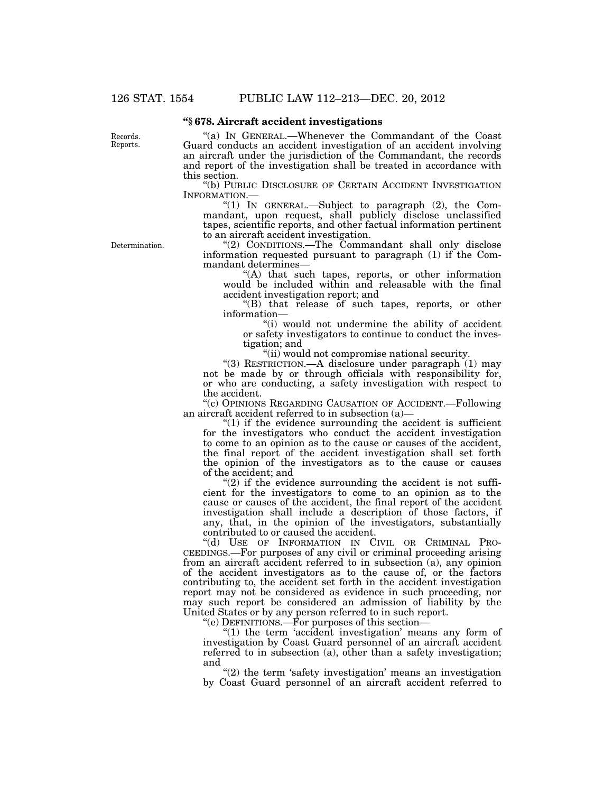# **''§ 678. Aircraft accident investigations**

Records. Reports.

''(a) IN GENERAL.—Whenever the Commandant of the Coast Guard conducts an accident investigation of an accident involving an aircraft under the jurisdiction of the Commandant, the records and report of the investigation shall be treated in accordance with this section.

''(b) PUBLIC DISCLOSURE OF CERTAIN ACCIDENT INVESTIGATION INFORMATION.— ''(1) IN GENERAL.—Subject to paragraph (2), the Com-

mandant, upon request, shall publicly disclose unclassified tapes, scientific reports, and other factual information pertinent to an aircraft accident investigation.

Determination.

"(2) CONDITIONS.—The Commandant shall only disclose information requested pursuant to paragraph (1) if the Commandant determines—

''(A) that such tapes, reports, or other information would be included within and releasable with the final accident investigation report; and

''(B) that release of such tapes, reports, or other information—

"(i) would not undermine the ability of accident or safety investigators to continue to conduct the investigation; and

''(ii) would not compromise national security.

''(3) RESTRICTION.—A disclosure under paragraph (1) may not be made by or through officials with responsibility for, or who are conducting, a safety investigation with respect to the accident.

''(c) OPINIONS REGARDING CAUSATION OF ACCIDENT.—Following an aircraft accident referred to in subsection (a)—

" $(1)$  if the evidence surrounding the accident is sufficient for the investigators who conduct the accident investigation to come to an opinion as to the cause or causes of the accident, the final report of the accident investigation shall set forth the opinion of the investigators as to the cause or causes of the accident; and

 $(2)$  if the evidence surrounding the accident is not sufficient for the investigators to come to an opinion as to the cause or causes of the accident, the final report of the accident investigation shall include a description of those factors, if any, that, in the opinion of the investigators, substantially contributed to or caused the accident.

''(d) USE OF INFORMATION IN CIVIL OR CRIMINAL PRO-CEEDINGS.—For purposes of any civil or criminal proceeding arising from an aircraft accident referred to in subsection (a), any opinion of the accident investigators as to the cause of, or the factors contributing to, the accident set forth in the accident investigation report may not be considered as evidence in such proceeding, nor may such report be considered an admission of liability by the United States or by any person referred to in such report.

''(e) DEFINITIONS.—For purposes of this section—

"(1) the term 'accident investigation' means any form of investigation by Coast Guard personnel of an aircraft accident referred to in subsection (a), other than a safety investigation; and

 $"(2)$  the term 'safety investigation' means an investigation by Coast Guard personnel of an aircraft accident referred to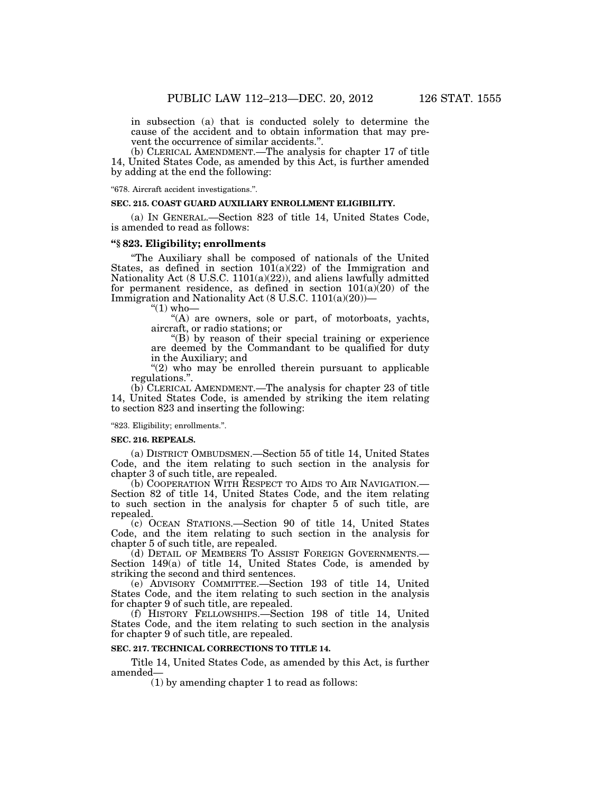in subsection (a) that is conducted solely to determine the cause of the accident and to obtain information that may prevent the occurrence of similar accidents."

(b) CLERICAL AMENDMENT.—The analysis for chapter 17 of title 14, United States Code, as amended by this Act, is further amended by adding at the end the following:

''678. Aircraft accident investigations.''.

#### **SEC. 215. COAST GUARD AUXILIARY ENROLLMENT ELIGIBILITY.**

(a) IN GENERAL.—Section 823 of title 14, United States Code, is amended to read as follows:

# **''§ 823. Eligibility; enrollments**

''The Auxiliary shall be composed of nationals of the United States, as defined in section  $101(a)(22)$  of the Immigration and Nationality Act (8 U.S.C. 1101(a)(22)), and aliens lawfully admitted for permanent residence, as defined in section  $101(a)(20)$  of the Immigration and Nationality Act (8 U.S.C. 1101(a)(20))—

" $(1)$  who-

''(A) are owners, sole or part, of motorboats, yachts, aircraft, or radio stations; or

''(B) by reason of their special training or experience are deemed by the Commandant to be qualified for duty in the Auxiliary; and

" $(2)$  who may be enrolled therein pursuant to applicable regulations.''.

(b) CLERICAL AMENDMENT.—The analysis for chapter 23 of title 14, United States Code, is amended by striking the item relating to section 823 and inserting the following:

''823. Eligibility; enrollments.''.

#### **SEC. 216. REPEALS.**

(a) DISTRICT OMBUDSMEN.—Section 55 of title 14, United States Code, and the item relating to such section in the analysis for chapter 3 of such title, are repealed.

(b) COOPERATION WITH RESPECT TO AIDS TO AIR NAVIGATION.— Section 82 of title 14, United States Code, and the item relating to such section in the analysis for chapter 5 of such title, are repealed.

(c) OCEAN STATIONS.—Section 90 of title 14, United States Code, and the item relating to such section in the analysis for chapter 5 of such title, are repealed.

(d) DETAIL OF MEMBERS TO ASSIST FOREIGN GOVERNMENTS.— Section 149(a) of title 14, United States Code, is amended by striking the second and third sentences.

(e) ADVISORY COMMITTEE.—Section 193 of title 14, United States Code, and the item relating to such section in the analysis for chapter 9 of such title, are repealed.

(f) HISTORY FELLOWSHIPS.—Section 198 of title 14, United States Code, and the item relating to such section in the analysis for chapter 9 of such title, are repealed.

### **SEC. 217. TECHNICAL CORRECTIONS TO TITLE 14.**

Title 14, United States Code, as amended by this Act, is further amended—

(1) by amending chapter 1 to read as follows: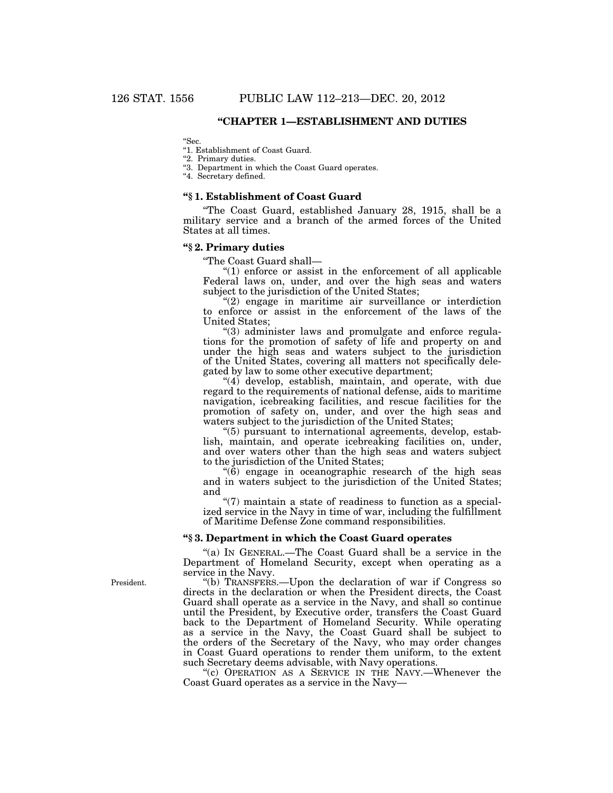# **''CHAPTER 1—ESTABLISHMENT AND DUTIES**

''Sec.

''1. Establishment of Coast Guard.

''2. Primary duties.

''3. Department in which the Coast Guard operates.

"4. Secretary defined.

#### **''§ 1. Establishment of Coast Guard**

''The Coast Guard, established January 28, 1915, shall be a military service and a branch of the armed forces of the United States at all times.

# **''§ 2. Primary duties**

''The Coast Guard shall—

 $(1)$  enforce or assist in the enforcement of all applicable Federal laws on, under, and over the high seas and waters subject to the jurisdiction of the United States;

"(2) engage in maritime air surveillance or interdiction to enforce or assist in the enforcement of the laws of the United States;

''(3) administer laws and promulgate and enforce regulations for the promotion of safety of life and property on and under the high seas and waters subject to the jurisdiction of the United States, covering all matters not specifically delegated by law to some other executive department;

"(4) develop, establish, maintain, and operate, with due regard to the requirements of national defense, aids to maritime navigation, icebreaking facilities, and rescue facilities for the promotion of safety on, under, and over the high seas and waters subject to the jurisdiction of the United States;

''(5) pursuant to international agreements, develop, establish, maintain, and operate icebreaking facilities on, under, and over waters other than the high seas and waters subject to the jurisdiction of the United States;

 $(6)$  engage in oceanographic research of the high seas and in waters subject to the jurisdiction of the United States; and

 $''(7)$  maintain a state of readiness to function as a specialized service in the Navy in time of war, including the fulfillment of Maritime Defense Zone command responsibilities.

# **''§ 3. Department in which the Coast Guard operates**

''(a) IN GENERAL.—The Coast Guard shall be a service in the Department of Homeland Security, except when operating as a service in the Navy.

''(b) TRANSFERS.—Upon the declaration of war if Congress so directs in the declaration or when the President directs, the Coast Guard shall operate as a service in the Navy, and shall so continue until the President, by Executive order, transfers the Coast Guard back to the Department of Homeland Security. While operating as a service in the Navy, the Coast Guard shall be subject to the orders of the Secretary of the Navy, who may order changes in Coast Guard operations to render them uniform, to the extent such Secretary deems advisable, with Navy operations.

"(c) OPERATION AS A SERVICE IN THE NAVY.—Whenever the Coast Guard operates as a service in the Navy—

President.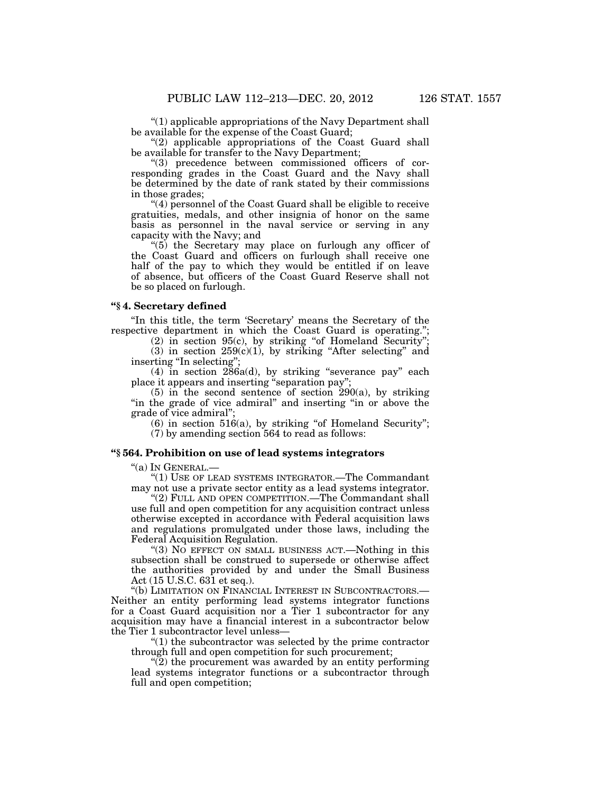''(1) applicable appropriations of the Navy Department shall be available for the expense of the Coast Guard;

"(2) applicable appropriations of the Coast Guard shall be available for transfer to the Navy Department;

"(3) precedence between commissioned officers of corresponding grades in the Coast Guard and the Navy shall be determined by the date of rank stated by their commissions in those grades;

''(4) personnel of the Coast Guard shall be eligible to receive gratuities, medals, and other insignia of honor on the same basis as personnel in the naval service or serving in any capacity with the Navy; and

''(5) the Secretary may place on furlough any officer of the Coast Guard and officers on furlough shall receive one half of the pay to which they would be entitled if on leave of absence, but officers of the Coast Guard Reserve shall not be so placed on furlough.

#### **''§ 4. Secretary defined**

"In this title, the term 'Secretary' means the Secretary of the respective department in which the Coast Guard is operating.'';

(2) in section 95(c), by striking ''of Homeland Security''; (3) in section  $259(c)(1)$ , by striking "After selecting" and inserting "In selecting";

(4) in section 286a(d), by striking ''severance pay'' each place it appears and inserting ''separation pay'';

 $(5)$  in the second sentence of section 290 $(a)$ , by striking "in the grade of vice admiral" and inserting "in or above the grade of vice admiral'';

 $(6)$  in section 516(a), by striking "of Homeland Security"; (7) by amending section 564 to read as follows:

# **''§ 564. Prohibition on use of lead systems integrators**

''(a) IN GENERAL.—

''(1) USE OF LEAD SYSTEMS INTEGRATOR.—The Commandant may not use a private sector entity as a lead systems integrator.

"(2) FULL AND OPEN COMPETITION.—The Commandant shall use full and open competition for any acquisition contract unless otherwise excepted in accordance with Federal acquisition laws and regulations promulgated under those laws, including the Federal Acquisition Regulation.

"(3) NO EFFECT ON SMALL BUSINESS ACT.—Nothing in this subsection shall be construed to supersede or otherwise affect the authorities provided by and under the Small Business Act (15 U.S.C. 631 et seq.).

''(b) LIMITATION ON FINANCIAL INTEREST IN SUBCONTRACTORS.— Neither an entity performing lead systems integrator functions for a Coast Guard acquisition nor a Tier 1 subcontractor for any acquisition may have a financial interest in a subcontractor below the Tier 1 subcontractor level unless—

 $(1)$  the subcontractor was selected by the prime contractor through full and open competition for such procurement;

 $\widetilde{P(2)}$  the procurement was awarded by an entity performing lead systems integrator functions or a subcontractor through full and open competition;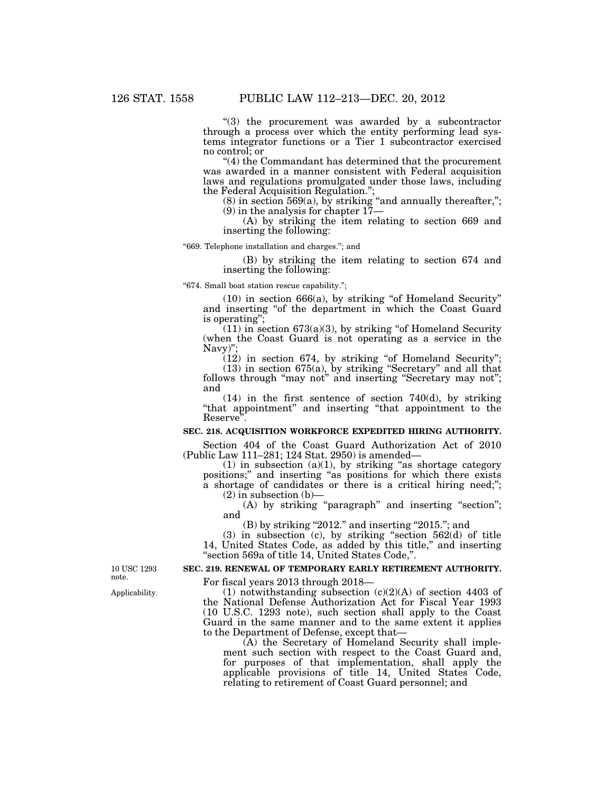''(3) the procurement was awarded by a subcontractor through a process over which the entity performing lead systems integrator functions or a Tier 1 subcontractor exercised no control; or

''(4) the Commandant has determined that the procurement was awarded in a manner consistent with Federal acquisition laws and regulations promulgated under those laws, including the Federal Acquisition Regulation.'';

 $(8)$  in section 569 $(a)$ , by striking "and annually thereafter,"; (9) in the analysis for chapter 17—

(A) by striking the item relating to section 669 and inserting the following:

''669. Telephone installation and charges.''; and

(B) by striking the item relating to section 674 and inserting the following:

''674. Small boat station rescue capability.'';

 $(10)$  in section 666 $(a)$ , by striking "of Homeland Security" and inserting ''of the department in which the Coast Guard is operating'';

 $(11)$  in section 673 $(a)(3)$ , by striking "of Homeland Security (when the Coast Guard is not operating as a service in the Navy)'

 $(12)$  in section 674, by striking "of Homeland Security"; (13) in section 675(a), by striking ''Secretary'' and all that follows through "may not" and inserting "Secretary may not"; and

(14) in the first sentence of section 740(d), by striking "that appointment" and inserting "that appointment to the Reserve''.

# **SEC. 218. ACQUISITION WORKFORCE EXPEDITED HIRING AUTHORITY.**

Section 404 of the Coast Guard Authorization Act of 2010 (Public Law 111–281; 124 Stat. 2950) is amended—

 $(1)$  in subsection  $(a)(1)$ , by striking "as shortage category positions;'' and inserting ''as positions for which there exists a shortage of candidates or there is a critical hiring need;'';  $(2)$  in subsection  $(b)$ –

(A) by striking "paragraph" and inserting "section"; and

 $(B)$  by striking "2012." and inserting "2015."; and

 $(3)$  in subsection  $(c)$ , by striking "section 562 $(d)$  of title 14, United States Code, as added by this title," and inserting ''section 569a of title 14, United States Code,''.

# **SEC. 219. RENEWAL OF TEMPORARY EARLY RETIREMENT AUTHORITY.**

For fiscal years 2013 through 2018—

(1) notwithstanding subsection  $(c)(2)(A)$  of section 4403 of the National Defense Authorization Act for Fiscal Year 1993 (10 U.S.C. 1293 note), such section shall apply to the Coast Guard in the same manner and to the same extent it applies to the Department of Defense, except that—

(A) the Secretary of Homeland Security shall implement such section with respect to the Coast Guard and, for purposes of that implementation, shall apply the applicable provisions of title 14, United States Code, relating to retirement of Coast Guard personnel; and

10 USC 1293 note.

Applicability.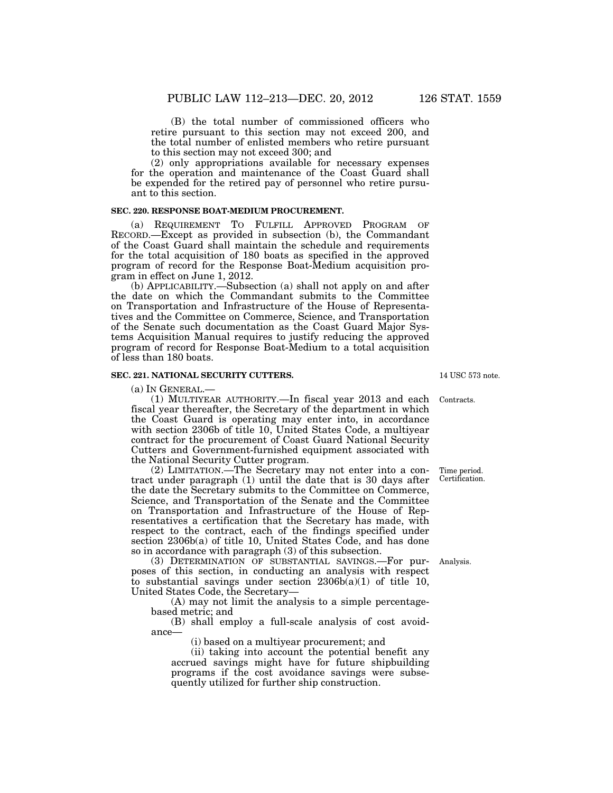(B) the total number of commissioned officers who retire pursuant to this section may not exceed 200, and the total number of enlisted members who retire pursuant to this section may not exceed 300; and

(2) only appropriations available for necessary expenses for the operation and maintenance of the Coast Guard shall be expended for the retired pay of personnel who retire pursuant to this section.

#### **SEC. 220. RESPONSE BOAT-MEDIUM PROCUREMENT.**

(a) REQUIREMENT TO FULFILL APPROVED PROGRAM OF RECORD.—Except as provided in subsection (b), the Commandant of the Coast Guard shall maintain the schedule and requirements for the total acquisition of 180 boats as specified in the approved program of record for the Response Boat-Medium acquisition program in effect on June 1, 2012.

(b) APPLICABILITY.—Subsection (a) shall not apply on and after the date on which the Commandant submits to the Committee on Transportation and Infrastructure of the House of Representatives and the Committee on Commerce, Science, and Transportation of the Senate such documentation as the Coast Guard Major Systems Acquisition Manual requires to justify reducing the approved program of record for Response Boat-Medium to a total acquisition of less than 180 boats.

#### **SEC. 221. NATIONAL SECURITY CUTTERS.**

(a) IN GENERAL.—

(1) MULTIYEAR AUTHORITY.—In fiscal year 2013 and each fiscal year thereafter, the Secretary of the department in which the Coast Guard is operating may enter into, in accordance with section 2306b of title 10, United States Code, a multiyear contract for the procurement of Coast Guard National Security Cutters and Government-furnished equipment associated with the National Security Cutter program.

(2) LIMITATION.—The Secretary may not enter into a contract under paragraph (1) until the date that is 30 days after the date the Secretary submits to the Committee on Commerce, Science, and Transportation of the Senate and the Committee on Transportation and Infrastructure of the House of Representatives a certification that the Secretary has made, with respect to the contract, each of the findings specified under section 2306b(a) of title 10, United States Code, and has done so in accordance with paragraph (3) of this subsection.

(3) DETERMINATION OF SUBSTANTIAL SAVINGS.—For purposes of this section, in conducting an analysis with respect to substantial savings under section  $2306b(a)(1)$  of title 10, United States Code, the Secretary—

(A) may not limit the analysis to a simple percentagebased metric; and

(B) shall employ a full-scale analysis of cost avoidance—

(i) based on a multiyear procurement; and

(ii) taking into account the potential benefit any accrued savings might have for future shipbuilding programs if the cost avoidance savings were subsequently utilized for further ship construction.

14 USC 573 note.

Contracts.

Time period. Certification.

Analysis.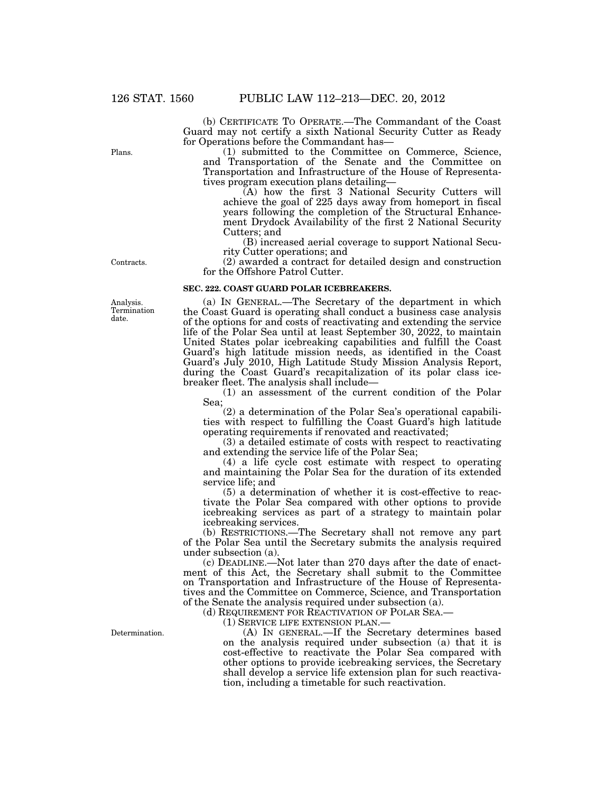(b) CERTIFICATE TO OPERATE.—The Commandant of the Coast Guard may not certify a sixth National Security Cutter as Ready for Operations before the Commandant has—

(1) submitted to the Committee on Commerce, Science, and Transportation of the Senate and the Committee on Transportation and Infrastructure of the House of Representatives program execution plans detailing—

(A) how the first 3 National Security Cutters will achieve the goal of 225 days away from homeport in fiscal years following the completion of the Structural Enhancement Drydock Availability of the first 2 National Security Cutters; and

(B) increased aerial coverage to support National Security Cutter operations; and

(2) awarded a contract for detailed design and construction for the Offshore Patrol Cutter.

#### **SEC. 222. COAST GUARD POLAR ICEBREAKERS.**

(a) IN GENERAL.—The Secretary of the department in which the Coast Guard is operating shall conduct a business case analysis of the options for and costs of reactivating and extending the service life of the Polar Sea until at least September 30, 2022, to maintain United States polar icebreaking capabilities and fulfill the Coast Guard's high latitude mission needs, as identified in the Coast Guard's July 2010, High Latitude Study Mission Analysis Report, during the Coast Guard's recapitalization of its polar class icebreaker fleet. The analysis shall include—

(1) an assessment of the current condition of the Polar Sea;

(2) a determination of the Polar Sea's operational capabilities with respect to fulfilling the Coast Guard's high latitude operating requirements if renovated and reactivated;

(3) a detailed estimate of costs with respect to reactivating and extending the service life of the Polar Sea;

(4) a life cycle cost estimate with respect to operating and maintaining the Polar Sea for the duration of its extended service life; and

(5) a determination of whether it is cost-effective to reactivate the Polar Sea compared with other options to provide icebreaking services as part of a strategy to maintain polar icebreaking services.

(b) RESTRICTIONS.—The Secretary shall not remove any part of the Polar Sea until the Secretary submits the analysis required under subsection (a).

(c) DEADLINE.—Not later than 270 days after the date of enactment of this Act, the Secretary shall submit to the Committee on Transportation and Infrastructure of the House of Representatives and the Committee on Commerce, Science, and Transportation of the Senate the analysis required under subsection (a).

(d) REQUIREMENT FOR REACTIVATION OF POLAR SEA.—<br>(1) SERVICE LIFE EXTENSION PLAN.—

(A) IN GENERAL.—If the Secretary determines based on the analysis required under subsection (a) that it is cost-effective to reactivate the Polar Sea compared with other options to provide icebreaking services, the Secretary shall develop a service life extension plan for such reactivation, including a timetable for such reactivation.

Analysis. Termination date.

Determination.

Plans.

Contracts.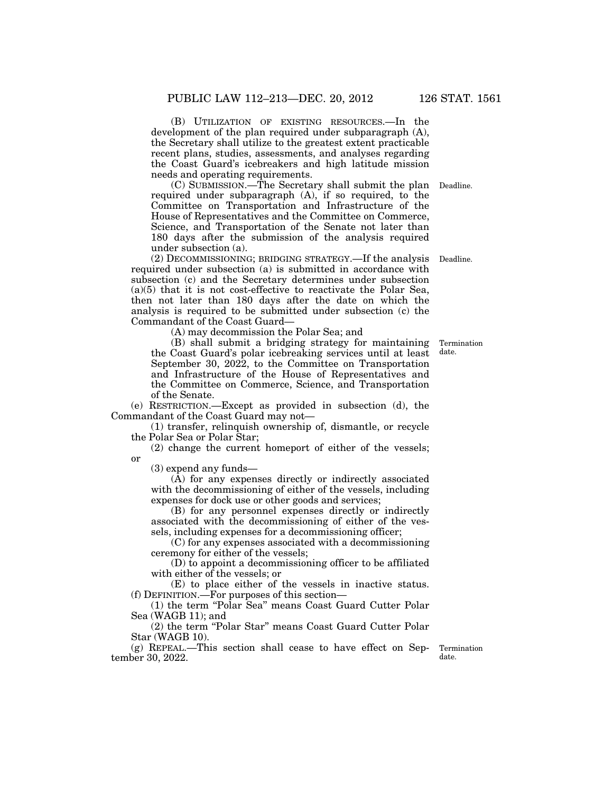(B) UTILIZATION OF EXISTING RESOURCES.—In the development of the plan required under subparagraph (A), the Secretary shall utilize to the greatest extent practicable recent plans, studies, assessments, and analyses regarding the Coast Guard's icebreakers and high latitude mission needs and operating requirements.

(C) SUBMISSION.—The Secretary shall submit the plan Deadline. required under subparagraph (A), if so required, to the Committee on Transportation and Infrastructure of the House of Representatives and the Committee on Commerce, Science, and Transportation of the Senate not later than 180 days after the submission of the analysis required under subsection (a).

(2) DECOMMISSIONING; BRIDGING STRATEGY.—If the analysis required under subsection (a) is submitted in accordance with subsection (c) and the Secretary determines under subsection  $(a)(5)$  that it is not cost-effective to reactivate the Polar Sea, then not later than 180 days after the date on which the analysis is required to be submitted under subsection (c) the Commandant of the Coast Guard— Deadline.

(A) may decommission the Polar Sea; and

(B) shall submit a bridging strategy for maintaining the Coast Guard's polar icebreaking services until at least September 30, 2022, to the Committee on Transportation and Infrastructure of the House of Representatives and the Committee on Commerce, Science, and Transportation of the Senate.

(e) RESTRICTION.—Except as provided in subsection (d), the Commandant of the Coast Guard may not—

(1) transfer, relinquish ownership of, dismantle, or recycle the Polar Sea or Polar Star;

(2) change the current homeport of either of the vessels; or

(3) expend any funds—

(A) for any expenses directly or indirectly associated with the decommissioning of either of the vessels, including expenses for dock use or other goods and services;

(B) for any personnel expenses directly or indirectly associated with the decommissioning of either of the vessels, including expenses for a decommissioning officer;

(C) for any expenses associated with a decommissioning ceremony for either of the vessels;

(D) to appoint a decommissioning officer to be affiliated with either of the vessels; or

(E) to place either of the vessels in inactive status. (f) DEFINITION.—For purposes of this section—

(1) the term ''Polar Sea'' means Coast Guard Cutter Polar Sea (WAGB 11); and

(2) the term ''Polar Star'' means Coast Guard Cutter Polar Star (WAGB 10).

(g) REPEAL.—This section shall cease to have effect on September 30, 2022.

Termination date.

Termination date.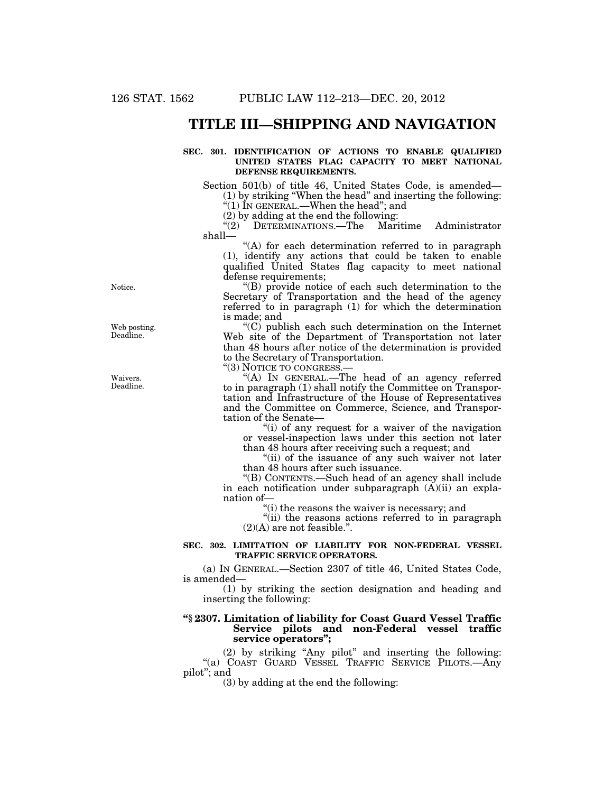# **TITLE III—SHIPPING AND NAVIGATION**

#### **SEC. 301. IDENTIFICATION OF ACTIONS TO ENABLE QUALIFIED UNITED STATES FLAG CAPACITY TO MEET NATIONAL DEFENSE REQUIREMENTS.**

Section 501(b) of title 46, United States Code, is amended— (1) by striking ''When the head'' and inserting the following: ''(1) IN GENERAL.—When the head''; and

(2) by adding at the end the following:<br>"(2) DETERMINATIONS.—The Mari ''(2) DETERMINATIONS.—The Maritime Administrator shall—

''(A) for each determination referred to in paragraph (1), identify any actions that could be taken to enable qualified United States flag capacity to meet national defense requirements;

''(B) provide notice of each such determination to the Secretary of Transportation and the head of the agency referred to in paragraph (1) for which the determination is made; and

''(C) publish each such determination on the Internet Web site of the Department of Transportation not later than 48 hours after notice of the determination is provided to the Secretary of Transportation.

"(3) NOTICE TO CONGRESS.

"(A) In GENERAL.—The head of an agency referred to in paragraph (1) shall notify the Committee on Transportation and Infrastructure of the House of Representatives and the Committee on Commerce, Science, and Transportation of the Senate—

"(i) of any request for a waiver of the navigation" or vessel-inspection laws under this section not later than 48 hours after receiving such a request; and

"(ii) of the issuance of any such waiver not later than 48 hours after such issuance.

''(B) CONTENTS.—Such head of an agency shall include in each notification under subparagraph (A)(ii) an explanation of—

''(i) the reasons the waiver is necessary; and

"(ii) the reasons actions referred to in paragraph  $(2)(A)$  are not feasible.".

# **SEC. 302. LIMITATION OF LIABILITY FOR NON-FEDERAL VESSEL TRAFFIC SERVICE OPERATORS.**

(a) IN GENERAL.—Section 2307 of title 46, United States Code, is amended—

(1) by striking the section designation and heading and inserting the following:

# **''§ 2307. Limitation of liability for Coast Guard Vessel Traffic Service pilots and non-Federal vessel traffic service operators'';**

(2) by striking ''Any pilot'' and inserting the following: ''(a) COAST GUARD VESSEL TRAFFIC SERVICE PILOTS.—Any pilot''; and

(3) by adding at the end the following:

Notice.

Web posting. Deadline.

Waivers. Deadline.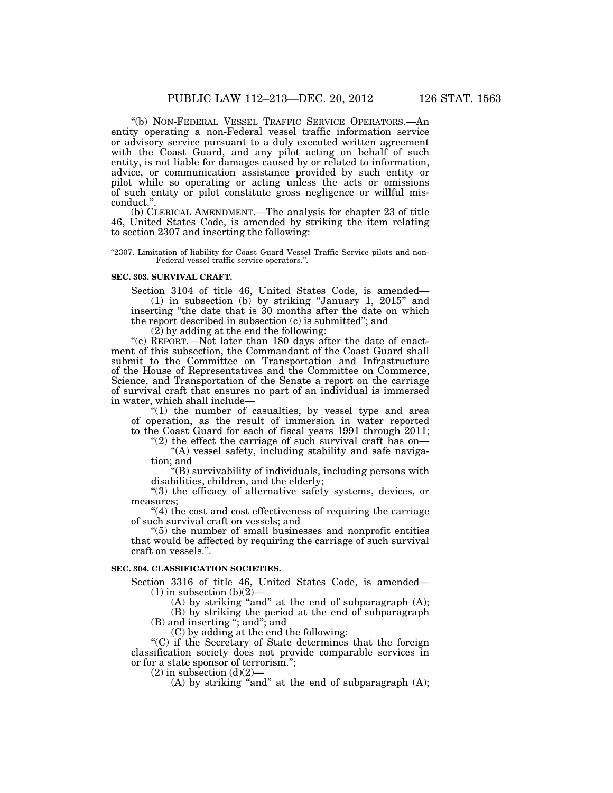''(b) NON-FEDERAL VESSEL TRAFFIC SERVICE OPERATORS.—An entity operating a non-Federal vessel traffic information service or advisory service pursuant to a duly executed written agreement with the Coast Guard, and any pilot acting on behalf of such entity, is not liable for damages caused by or related to information, advice, or communication assistance provided by such entity or pilot while so operating or acting unless the acts or omissions of such entity or pilot constitute gross negligence or willful misconduct.''.

(b) CLERICAL AMENDMENT.—The analysis for chapter 23 of title 46, United States Code, is amended by striking the item relating to section 2307 and inserting the following:

''2307. Limitation of liability for Coast Guard Vessel Traffic Service pilots and non-Federal vessel traffic service operators.''.

#### **SEC. 303. SURVIVAL CRAFT.**

Section 3104 of title 46, United States Code, is amended— (1) in subsection (b) by striking ''January 1, 2015'' and inserting ''the date that is 30 months after the date on which the report described in subsection (c) is submitted''; and

(2) by adding at the end the following:

"(c) REPORT.—Not later than 180 days after the date of enactment of this subsection, the Commandant of the Coast Guard shall submit to the Committee on Transportation and Infrastructure of the House of Representatives and the Committee on Commerce, Science, and Transportation of the Senate a report on the carriage of survival craft that ensures no part of an individual is immersed in water, which shall include—

"(1) the number of casualties, by vessel type and area of operation, as the result of immersion in water reported to the Coast Guard for each of fiscal years 1991 through 2011;

" $(2)$  the effect the carriage of such survival craft has on-''(A) vessel safety, including stability and safe naviga-

tion; and ''(B) survivability of individuals, including persons with disabilities, children, and the elderly;

"(3) the efficacy of alternative safety systems, devices, or measures;

"(4) the cost and cost effectiveness of requiring the carriage of such survival craft on vessels; and

''(5) the number of small businesses and nonprofit entities that would be affected by requiring the carriage of such survival craft on vessels.''.

# **SEC. 304. CLASSIFICATION SOCIETIES.**

Section 3316 of title 46, United States Code, is amended—  $(1)$  in subsection  $(b)(2)$ —

 $(A)$  by striking "and" at the end of subparagraph  $(A)$ ;

(B) by striking the period at the end of subparagraph (B) and inserting ''; and''; and

(C) by adding at the end the following:

''(C) if the Secretary of State determines that the foreign classification society does not provide comparable services in or for a state sponsor of terrorism.'';

 $(2)$  in subsection  $(d)(2)$ —

(A) by striking ''and'' at the end of subparagraph (A);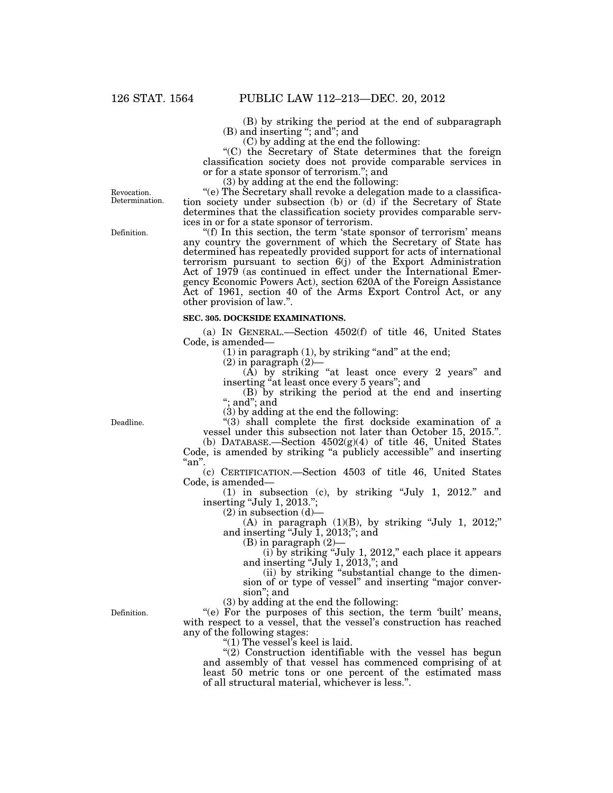(B) by striking the period at the end of subparagraph (B) and inserting ''; and''; and

(C) by adding at the end the following:

''(C) the Secretary of State determines that the foreign classification society does not provide comparable services in or for a state sponsor of terrorism.''; and

(3) by adding at the end the following:

''(e) The Secretary shall revoke a delegation made to a classification society under subsection (b) or (d) if the Secretary of State determines that the classification society provides comparable services in or for a state sponsor of terrorism.

"(f) In this section, the term 'state sponsor of terrorism' means any country the government of which the Secretary of State has determined has repeatedly provided support for acts of international terrorism pursuant to section 6(j) of the Export Administration Act of 1979 (as continued in effect under the International Emergency Economic Powers Act), section 620A of the Foreign Assistance Act of 1961, section 40 of the Arms Export Control Act, or any other provision of law.''.

### **SEC. 305. DOCKSIDE EXAMINATIONS.**

(a) IN GENERAL.—Section 4502(f) of title 46, United States Code, is amended—

 $(1)$  in paragraph  $(1)$ , by striking "and" at the end;

 $(2)$  in paragraph  $(2)$ —

 $(A)$  by striking "at least once every 2 years" and inserting "at least once every 5 years"; and inserting "at least once every 5 years"; and

(B) by striking the period at the end and inserting ''; and''; and

(3) by adding at the end the following:

 $'(3)$  shall complete the first dockside examination of a vessel under this subsection not later than October 15, 2015.''.

(b) DATABASE.—Section  $4502(g)(4)$  of title 46, United States Code, is amended by striking "a publicly accessible" and inserting ''an''.

(c) CERTIFICATION.—Section 4503 of title 46, United States Code, is amended—

(1) in subsection (c), by striking ''July 1, 2012.'' and inserting "July 1, 2013.";

 $(2)$  in subsection  $(d)$ —

(A) in paragraph  $(1)(B)$ , by striking "July 1, 2012;" and inserting "July 1, 2013;"; and

(B) in paragraph (2)—

 $(i)$  by striking "July 1, 2012," each place it appears and inserting "July 1,  $2013$ ,"; and

(ii) by striking ''substantial change to the dimension of or type of vessel'' and inserting ''major conversion''; and

(3) by adding at the end the following:

"(e) For the purposes of this section, the term 'built' means, with respect to a vessel, that the vessel's construction has reached any of the following stages:

''(1) The vessel's keel is laid.

 $''(2)$  Construction identifiable with the vessel has begun and assembly of that vessel has commenced comprising of at least 50 metric tons or one percent of the estimated mass of all structural material, whichever is less.''.

Definition.

Revocation. Determination.

Deadline.

Definition.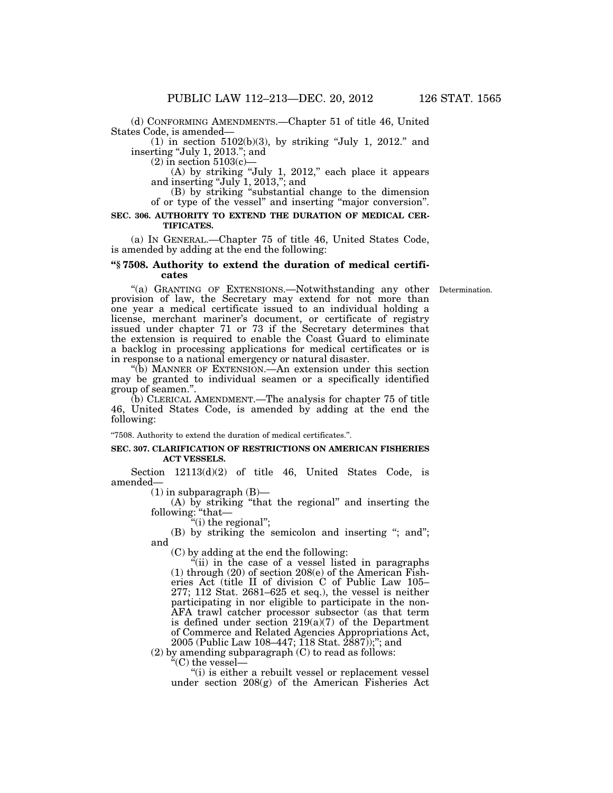(d) CONFORMING AMENDMENTS.—Chapter 51 of title 46, United States Code, is amended—

 $(1)$  in section 5102(b)(3), by striking "July 1, 2012." and inserting "July 1, 2013."; and

 $(2)$  in section 5103 $(c)$ —

 $(A)$  by striking "July 1, 2012," each place it appears and inserting "July  $1, 2013$ ,"; and

(B) by striking ''substantial change to the dimension of or type of the vessel'' and inserting ''major conversion''.

# **SEC. 306. AUTHORITY TO EXTEND THE DURATION OF MEDICAL CER-TIFICATES.**

(a) IN GENERAL.—Chapter 75 of title 46, United States Code, is amended by adding at the end the following:

### **''§ 7508. Authority to extend the duration of medical certificates**

"(a) GRANTING OF EXTENSIONS.—Notwithstanding any other Determination. provision of law, the Secretary may extend for not more than one year a medical certificate issued to an individual holding a license, merchant mariner's document, or certificate of registry issued under chapter 71 or 73 if the Secretary determines that the extension is required to enable the Coast Guard to eliminate a backlog in processing applications for medical certificates or is in response to a national emergency or natural disaster.

''(b) MANNER OF EXTENSION.—An extension under this section may be granted to individual seamen or a specifically identified group of seamen.''.

(b) CLERICAL AMENDMENT.—The analysis for chapter 75 of title 46, United States Code, is amended by adding at the end the following:

''7508. Authority to extend the duration of medical certificates.''.

#### **SEC. 307. CLARIFICATION OF RESTRICTIONS ON AMERICAN FISHERIES ACT VESSELS.**

Section 12113(d)(2) of title 46, United States Code, is amended—

(1) in subparagraph (B)—

(A) by striking ''that the regional'' and inserting the following: ''that—

"(i) the regional";

(B) by striking the semicolon and inserting "; and"; and

(C) by adding at the end the following:

 $\ddot{f}$ (ii) in the case of a vessel listed in paragraphs (1) through (20) of section 208(e) of the American Fisheries Act (title II of division C of Public Law 105– 277; 112 Stat. 2681–625 et seq.), the vessel is neither participating in nor eligible to participate in the non-AFA trawl catcher processor subsector (as that term is defined under section 219(a)(7) of the Department of Commerce and Related Agencies Appropriations Act, 2005 (Public Law 108–447; 118 Stat. 2887));''; and

 $(2)$  by amending subparagraph  $(C)$  to read as follows:

''(C) the vessel—

"(i) is either a rebuilt vessel or replacement vessel under section 208(g) of the American Fisheries Act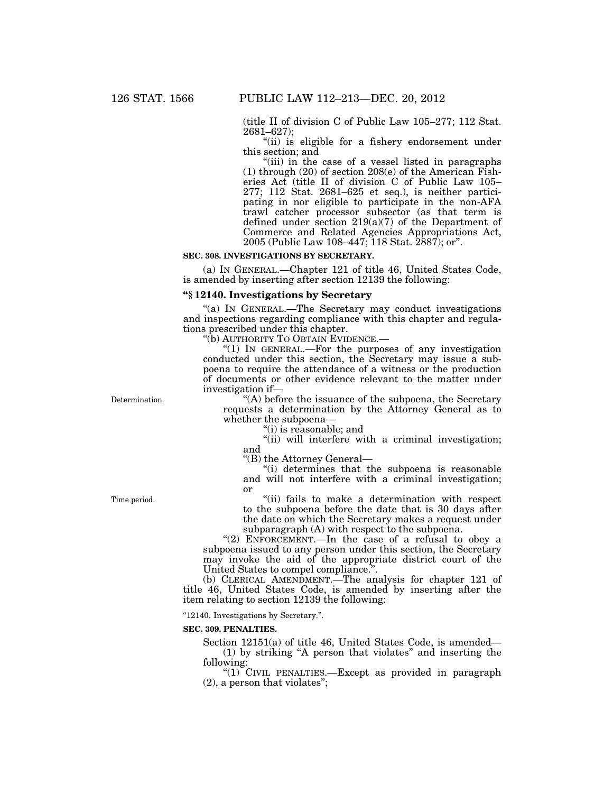(title II of division C of Public Law 105–277; 112 Stat. 2681–627);

"(ii) is eligible for a fishery endorsement under this section; and

"(iii) in the case of a vessel listed in paragraphs (1) through (20) of section 208(e) of the American Fisheries Act (title II of division C of Public Law 105– 277; 112 Stat. 2681–625 et seq.), is neither participating in nor eligible to participate in the non-AFA trawl catcher processor subsector (as that term is defined under section 219(a)(7) of the Department of Commerce and Related Agencies Appropriations Act, 2005 (Public Law 108–447; 118 Stat. 2887); or''.

#### **SEC. 308. INVESTIGATIONS BY SECRETARY.**

(a) IN GENERAL.—Chapter 121 of title 46, United States Code, is amended by inserting after section 12139 the following:

#### **''§ 12140. Investigations by Secretary**

''(a) IN GENERAL.—The Secretary may conduct investigations and inspections regarding compliance with this chapter and regulations prescribed under this chapter.

''(b) AUTHORITY TO OBTAIN EVIDENCE.—

" $(1)$  In GENERAL.—For the purposes of any investigation conducted under this section, the Secretary may issue a subpoena to require the attendance of a witness or the production of documents or other evidence relevant to the matter under investigation if—

Determination.

''(A) before the issuance of the subpoena, the Secretary requests a determination by the Attorney General as to whether the subpoena—

''(i) is reasonable; and

"(ii) will interfere with a criminal investigation; and

''(B) the Attorney General—

''(i) determines that the subpoena is reasonable and will not interfere with a criminal investigation; or

''(ii) fails to make a determination with respect to the subpoena before the date that is 30 days after the date on which the Secretary makes a request under subparagraph (A) with respect to the subpoena.

"(2) ENFORCEMENT.—In the case of a refusal to obey a subpoena issued to any person under this section, the Secretary may invoke the aid of the appropriate district court of the United States to compel compliance.''.

(b) CLERICAL AMENDMENT.—The analysis for chapter 121 of title 46, United States Code, is amended by inserting after the item relating to section 12139 the following:

''12140. Investigations by Secretary.''.

#### **SEC. 309. PENALTIES.**

Section 12151(a) of title 46, United States Code, is amended— (1) by striking ''A person that violates'' and inserting the following:

"(1) CIVIL PENALTIES.—Except as provided in paragraph (2), a person that violates'';

Time period.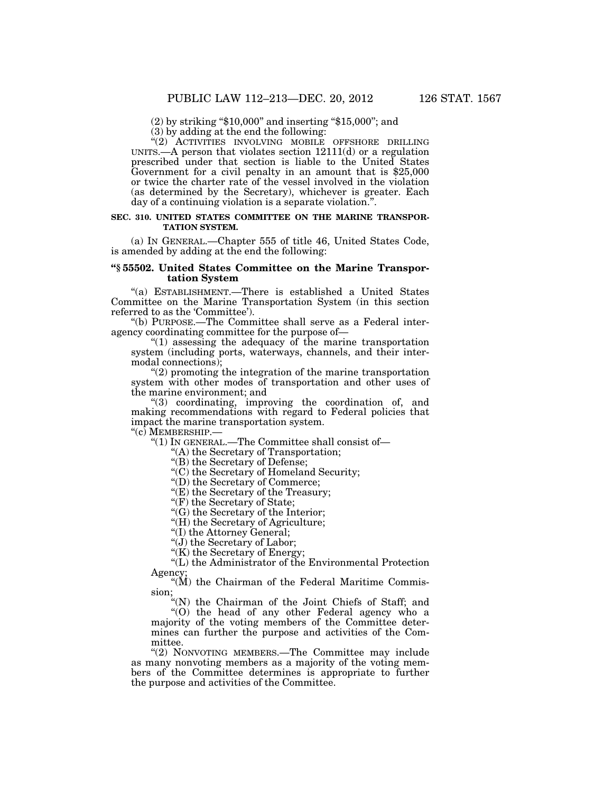(2) by striking ''\$10,000'' and inserting ''\$15,000''; and

(3) by adding at the end the following:

''(2) ACTIVITIES INVOLVING MOBILE OFFSHORE DRILLING UNITS.—A person that violates section 12111(d) or a regulation prescribed under that section is liable to the United States Government for a civil penalty in an amount that is \$25,000 or twice the charter rate of the vessel involved in the violation (as determined by the Secretary), whichever is greater. Each day of a continuing violation is a separate violation.''.

#### **SEC. 310. UNITED STATES COMMITTEE ON THE MARINE TRANSPOR-TATION SYSTEM.**

(a) IN GENERAL.—Chapter 555 of title 46, United States Code, is amended by adding at the end the following:

# **''§ 55502. United States Committee on the Marine Transportation System**

''(a) ESTABLISHMENT.—There is established a United States Committee on the Marine Transportation System (in this section referred to as the 'Committee').

''(b) PURPOSE.—The Committee shall serve as a Federal interagency coordinating committee for the purpose of—

" $(1)$  assessing the adequacy of the marine transportation system (including ports, waterways, channels, and their intermodal connections);

 $(2)$  promoting the integration of the marine transportation system with other modes of transportation and other uses of the marine environment; and

''(3) coordinating, improving the coordination of, and making recommendations with regard to Federal policies that impact the marine transportation system.

''(c) MEMBERSHIP.—

''(1) IN GENERAL.—The Committee shall consist of—

''(A) the Secretary of Transportation;

''(B) the Secretary of Defense;

''(C) the Secretary of Homeland Security;

''(D) the Secretary of Commerce;

"(E) the Secretary of the Treasury;

"(F) the Secretary of State;

''(G) the Secretary of the Interior;

''(H) the Secretary of Agriculture;

''(I) the Attorney General;

''(J) the Secretary of Labor;

"(K) the Secretary of Energy;

''(L) the Administrator of the Environmental Protection Agency;

" $(M)$  the Chairman of the Federal Maritime Commission;

''(N) the Chairman of the Joint Chiefs of Staff; and

''(O) the head of any other Federal agency who a  $\sqrt[4]{(0)}$  the head of any other Federal agency who a majority of the voting members of the Committee determines can further the purpose and activities of the Committee.

''(2) NONVOTING MEMBERS.—The Committee may include as many nonvoting members as a majority of the voting members of the Committee determines is appropriate to further the purpose and activities of the Committee.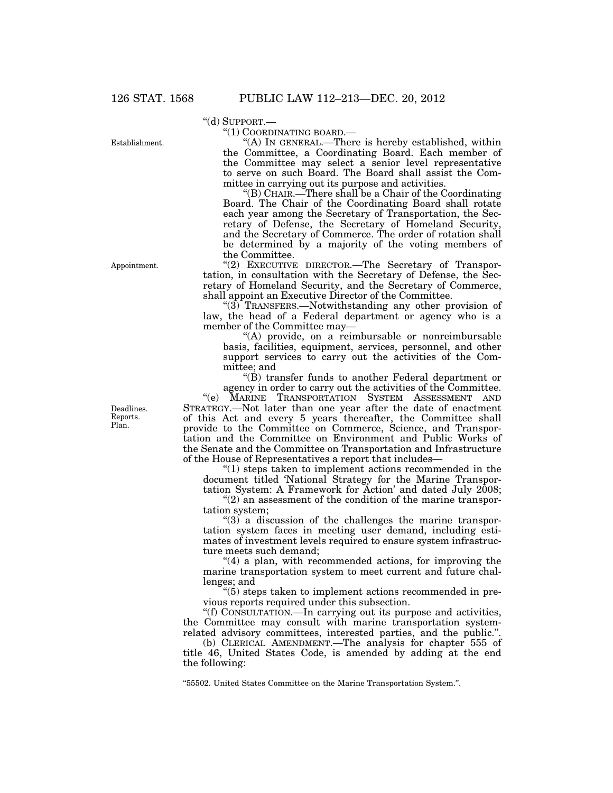''(d) SUPPORT.—

Establishment.

Appointment.

''(1) COORDINATING BOARD.—

''(A) IN GENERAL.—There is hereby established, within the Committee, a Coordinating Board. Each member of the Committee may select a senior level representative to serve on such Board. The Board shall assist the Committee in carrying out its purpose and activities.

''(B) CHAIR.—There shall be a Chair of the Coordinating Board. The Chair of the Coordinating Board shall rotate each year among the Secretary of Transportation, the Secretary of Defense, the Secretary of Homeland Security, and the Secretary of Commerce. The order of rotation shall be determined by a majority of the voting members of the Committee.

"(2) EXECUTIVE DIRECTOR.—The Secretary of Transportation, in consultation with the Secretary of Defense, the Secretary of Homeland Security, and the Secretary of Commerce, shall appoint an Executive Director of the Committee.

" $(3)$ <sup>T</sup>RANSFERS.—Notwithstanding any other provision of law, the head of a Federal department or agency who is a member of the Committee may—

"(A) provide, on a reimbursable or nonreimbursable basis, facilities, equipment, services, personnel, and other support services to carry out the activities of the Committee; and

''(B) transfer funds to another Federal department or agency in order to carry out the activities of the Committee.<br>
"(e) MARINE TRANSPORTATION SYSTEM ASSESSMENT AND

MARINE TRANSPORTATION SYSTEM ASSESSMENT AND STRATEGY.—Not later than one year after the date of enactment of this Act and every 5 years thereafter, the Committee shall provide to the Committee on Commerce, Science, and Transportation and the Committee on Environment and Public Works of the Senate and the Committee on Transportation and Infrastructure of the House of Representatives a report that includes—

" $(1)$  steps taken to implement actions recommended in the document titled 'National Strategy for the Marine Transportation System: A Framework for Action' and dated July 2008;

"(2) an assessment of the condition of the marine transportation system;

''(3) a discussion of the challenges the marine transportation system faces in meeting user demand, including estimates of investment levels required to ensure system infrastructure meets such demand;

"(4) a plan, with recommended actions, for improving the marine transportation system to meet current and future challenges; and

''(5) steps taken to implement actions recommended in previous reports required under this subsection.

''(f) CONSULTATION.—In carrying out its purpose and activities, the Committee may consult with marine transportation systemrelated advisory committees, interested parties, and the public.''.

(b) CLERICAL AMENDMENT.—The analysis for chapter 555 of title 46, United States Code, is amended by adding at the end the following:

''55502. United States Committee on the Marine Transportation System.''.

Deadlines. Reports. Plan.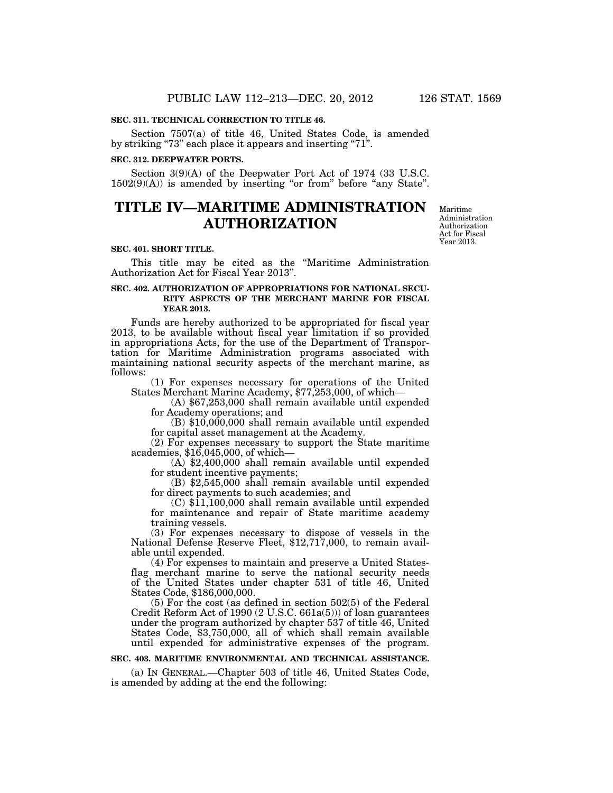#### **SEC. 311. TECHNICAL CORRECTION TO TITLE 46.**

Section 7507(a) of title 46, United States Code, is amended by striking "73" each place it appears and inserting "71".

### **SEC. 312. DEEPWATER PORTS.**

Section 3(9)(A) of the Deepwater Port Act of 1974 (33 U.S.C.  $1502(9)(A)$ ) is amended by inserting "or from" before "any State".

# **TITLE IV—MARITIME ADMINISTRATION AUTHORIZATION**

#### **SEC. 401. SHORT TITLE.**

This title may be cited as the ''Maritime Administration Authorization Act for Fiscal Year 2013''.

### **SEC. 402. AUTHORIZATION OF APPROPRIATIONS FOR NATIONAL SECU-RITY ASPECTS OF THE MERCHANT MARINE FOR FISCAL YEAR 2013.**

Funds are hereby authorized to be appropriated for fiscal year 2013, to be available without fiscal year limitation if so provided in appropriations Acts, for the use of the Department of Transportation for Maritime Administration programs associated with maintaining national security aspects of the merchant marine, as follows:

(1) For expenses necessary for operations of the United States Merchant Marine Academy, \$77,253,000, of which—

(A) \$67,253,000 shall remain available until expended for Academy operations; and

(B) \$10,000,000 shall remain available until expended for capital asset management at the Academy.

(2) For expenses necessary to support the State maritime academies, \$16,045,000, of which—

 $(A)$  \$2,400,000 shall remain available until expended for student incentive payments;

 $f(x)$  \$2,545,000 shall remain available until expended for direct payments to such academies; and

 $(C)$  \$11,100,000 shall remain available until expended for maintenance and repair of State maritime academy training vessels.<br>(3) For expenses necessary to dispose of vessels in the

National Defense Reserve Fleet, \$12,717,000, to remain available until expended.

(4) For expenses to maintain and preserve a United Statesflag merchant marine to serve the national security needs of the United States under chapter 531 of title 46, United States Code, \$186,000,000.

(5) For the cost (as defined in section 502(5) of the Federal Credit Reform Act of 1990 (2 U.S.C. 661a(5))) of loan guarantees under the program authorized by chapter 537 of title 46, United States Code, \$3,750,000, all of which shall remain available until expended for administrative expenses of the program.

#### **SEC. 403. MARITIME ENVIRONMENTAL AND TECHNICAL ASSISTANCE.**

(a) IN GENERAL.—Chapter 503 of title 46, United States Code, is amended by adding at the end the following:

Maritime Administration Authorization Act for Fiscal Year 2013.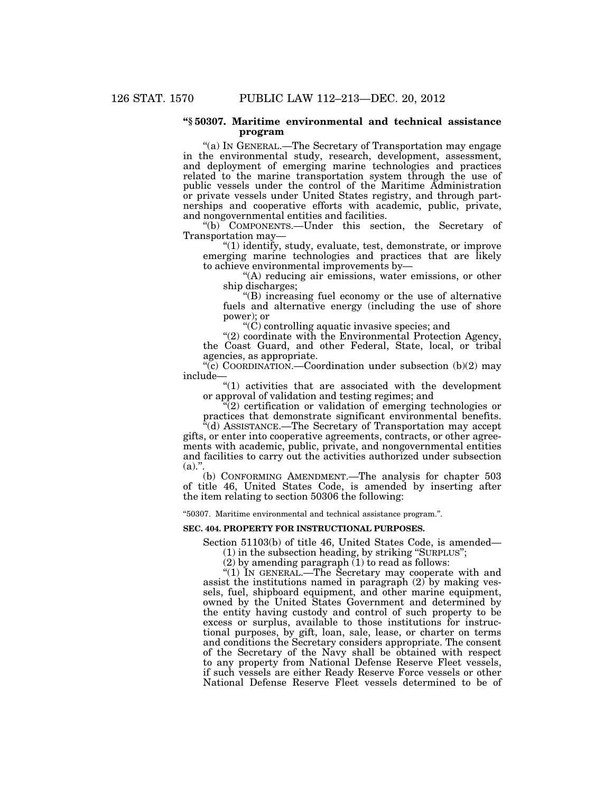#### **''§ 50307. Maritime environmental and technical assistance program**

''(a) IN GENERAL.—The Secretary of Transportation may engage in the environmental study, research, development, assessment, and deployment of emerging marine technologies and practices related to the marine transportation system through the use of public vessels under the control of the Maritime Administration or private vessels under United States registry, and through partnerships and cooperative efforts with academic, public, private, and nongovernmental entities and facilities.

''(b) COMPONENTS.—Under this section, the Secretary of Transportation may—

''(1) identify, study, evaluate, test, demonstrate, or improve emerging marine technologies and practices that are likely to achieve environmental improvements by—

''(A) reducing air emissions, water emissions, or other ship discharges;

''(B) increasing fuel economy or the use of alternative fuels and alternative energy (including the use of shore power); or

 $(C)$  controlling aquatic invasive species; and

''(2) coordinate with the Environmental Protection Agency, the Coast Guard, and other Federal, State, local, or tribal agencies, as appropriate.

''(c) COORDINATION.—Coordination under subsection (b)(2) may include—

"(1) activities that are associated with the development or approval of validation and testing regimes; and

 $\sqrt[n]{(2)}$  certification or validation of emerging technologies or practices that demonstrate significant environmental benefits.

''(d) ASSISTANCE.—The Secretary of Transportation may accept gifts, or enter into cooperative agreements, contracts, or other agreements with academic, public, private, and nongovernmental entities and facilities to carry out the activities authorized under subsection  $(a)$ .".

(b) CONFORMING AMENDMENT.—The analysis for chapter 503 of title 46, United States Code, is amended by inserting after the item relating to section 50306 the following:

''50307. Maritime environmental and technical assistance program.''.

# **SEC. 404. PROPERTY FOR INSTRUCTIONAL PURPOSES.**

Section 51103(b) of title 46, United States Code, is amended—

(1) in the subsection heading, by striking ''SURPLUS'';

(2) by amending paragraph  $(1)$  to read as follows:

"(1) IN GENERAL.—The Secretary may cooperate with and assist the institutions named in paragraph  $(2)$  by making vessels, fuel, shipboard equipment, and other marine equipment, owned by the United States Government and determined by the entity having custody and control of such property to be excess or surplus, available to those institutions for instructional purposes, by gift, loan, sale, lease, or charter on terms and conditions the Secretary considers appropriate. The consent of the Secretary of the Navy shall be obtained with respect to any property from National Defense Reserve Fleet vessels, if such vessels are either Ready Reserve Force vessels or other National Defense Reserve Fleet vessels determined to be of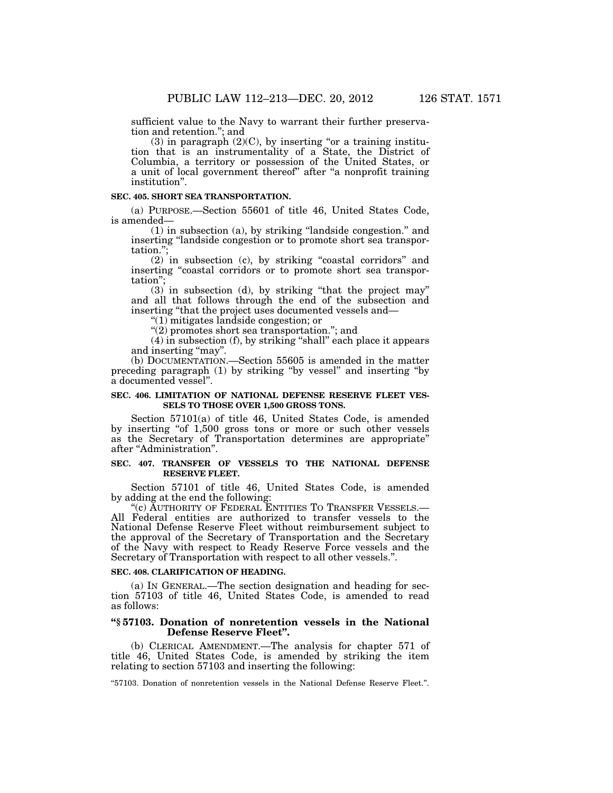sufficient value to the Navy to warrant their further preservation and retention.''; and

 $(3)$  in paragraph  $(2)(C)$ , by inserting "or a training institution that is an instrumentality of a State, the District of Columbia, a territory or possession of the United States, or a unit of local government thereof'' after ''a nonprofit training institution''.

# **SEC. 405. SHORT SEA TRANSPORTATION.**

(a) PURPOSE.—Section 55601 of title 46, United States Code, is amended—

(1) in subsection (a), by striking ''landside congestion.'' and inserting ''landside congestion or to promote short sea transportation.'';

 $(2)$  in subsection (c), by striking "coastal corridors" and inserting ''coastal corridors or to promote short sea transportation'';

(3) in subsection (d), by striking ''that the project may'' and all that follows through the end of the subsection and inserting ''that the project uses documented vessels and—

''(1) mitigates landside congestion; or

''(2) promotes short sea transportation.''; and

(4) in subsection (f), by striking ''shall'' each place it appears and inserting "may".

(b) DOCUMENTATION.—Section 55605 is amended in the matter preceding paragraph (1) by striking ''by vessel'' and inserting ''by a documented vessel''.

### **SEC. 406. LIMITATION OF NATIONAL DEFENSE RESERVE FLEET VES-SELS TO THOSE OVER 1,500 GROSS TONS.**

Section 57101(a) of title 46, United States Code, is amended by inserting "of 1,500 gross tons or more or such other vessels as the Secretary of Transportation determines are appropriate'' after ''Administration''.

# **SEC. 407. TRANSFER OF VESSELS TO THE NATIONAL DEFENSE RESERVE FLEET.**

Section 57101 of title 46, United States Code, is amended by adding at the end the following:

''(c) AUTHORITY OF FEDERAL ENTITIES TO TRANSFER VESSELS.— All Federal entities are authorized to transfer vessels to the National Defense Reserve Fleet without reimbursement subject to the approval of the Secretary of Transportation and the Secretary of the Navy with respect to Ready Reserve Force vessels and the Secretary of Transportation with respect to all other vessels.''.

#### **SEC. 408. CLARIFICATION OF HEADING.**

(a) IN GENERAL.—The section designation and heading for section 57103 of title 46, United States Code, is amended to read as follows:

# **''§ 57103. Donation of nonretention vessels in the National Defense Reserve Fleet''.**

(b) CLERICAL AMENDMENT.—The analysis for chapter 571 of title 46, United States Code, is amended by striking the item relating to section 57103 and inserting the following:

''57103. Donation of nonretention vessels in the National Defense Reserve Fleet.''.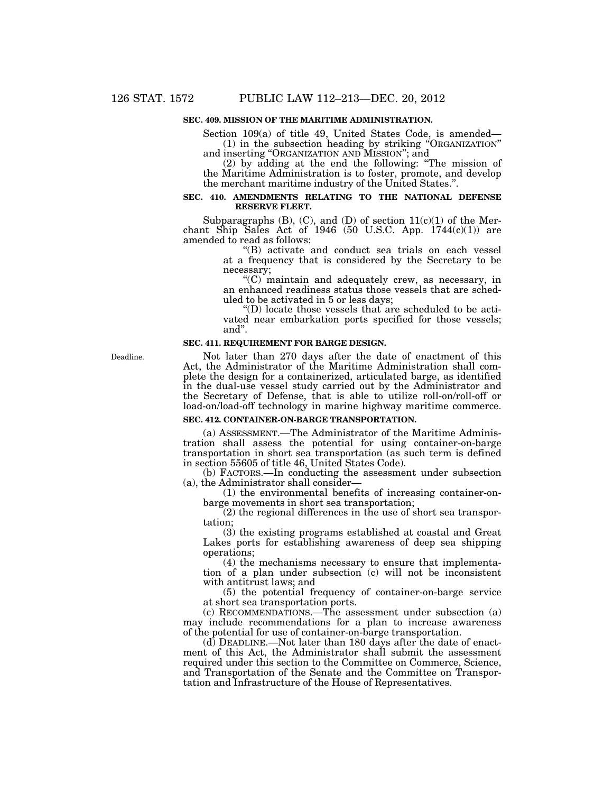# **SEC. 409. MISSION OF THE MARITIME ADMINISTRATION.**

Section 109(a) of title 49, United States Code, is amended— (1) in the subsection heading by striking ''ORGANIZATION''

and inserting ''ORGANIZATION AND MISSION''; and (2) by adding at the end the following: ''The mission of the Maritime Administration is to foster, promote, and develop the merchant maritime industry of the United States.''.

#### **SEC. 410. AMENDMENTS RELATING TO THE NATIONAL DEFENSE RESERVE FLEET.**

Subparagraphs  $(B)$ ,  $(C)$ , and  $(D)$  of section  $11(c)(1)$  of the Merchant Ship Sales Act of 1946 (50 U.S.C. App.  $1744(c)(1)$ ) are amended to read as follows:

''(B) activate and conduct sea trials on each vessel at a frequency that is considered by the Secretary to be necessary;

''(C) maintain and adequately crew, as necessary, in an enhanced readiness status those vessels that are scheduled to be activated in 5 or less days;

''(D) locate those vessels that are scheduled to be activated near embarkation ports specified for those vessels; and''.

#### **SEC. 411. REQUIREMENT FOR BARGE DESIGN.**

Deadline.

Not later than 270 days after the date of enactment of this Act, the Administrator of the Maritime Administration shall complete the design for a containerized, articulated barge, as identified in the dual-use vessel study carried out by the Administrator and the Secretary of Defense, that is able to utilize roll-on/roll-off or load-on/load-off technology in marine highway maritime commerce.

#### **SEC. 412. CONTAINER-ON-BARGE TRANSPORTATION.**

(a) ASSESSMENT.—The Administrator of the Maritime Administration shall assess the potential for using container-on-barge transportation in short sea transportation (as such term is defined in section 55605 of title 46, United States Code).

(b) FACTORS.—In conducting the assessment under subsection (a), the Administrator shall consider—

(1) the environmental benefits of increasing container-onbarge movements in short sea transportation;

(2) the regional differences in the use of short sea transportation;

(3) the existing programs established at coastal and Great Lakes ports for establishing awareness of deep sea shipping operations;

(4) the mechanisms necessary to ensure that implementation of a plan under subsection (c) will not be inconsistent with antitrust laws; and

(5) the potential frequency of container-on-barge service at short sea transportation ports.

(c) RECOMMENDATIONS.—The assessment under subsection (a) may include recommendations for a plan to increase awareness of the potential for use of container-on-barge transportation.

(d) DEADLINE.—Not later than 180 days after the date of enactment of this Act, the Administrator shall submit the assessment required under this section to the Committee on Commerce, Science, and Transportation of the Senate and the Committee on Transportation and Infrastructure of the House of Representatives.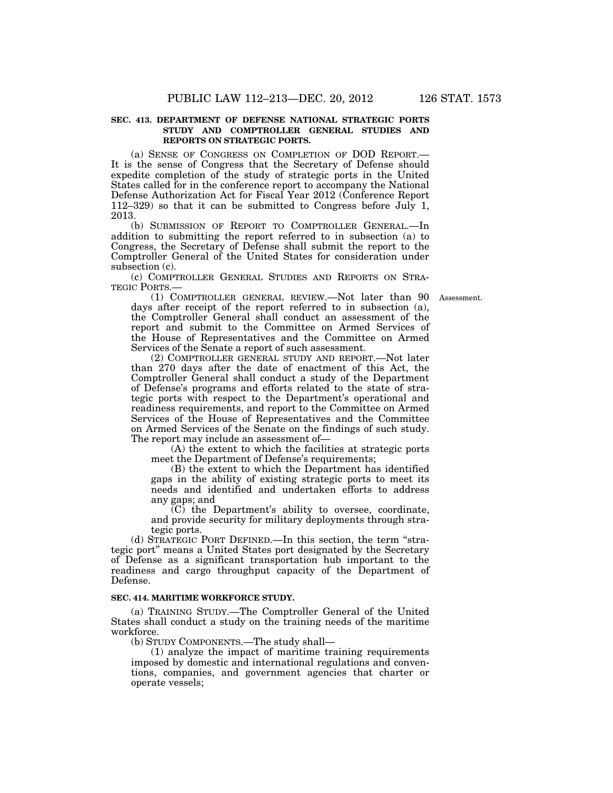#### **SEC. 413. DEPARTMENT OF DEFENSE NATIONAL STRATEGIC PORTS STUDY AND COMPTROLLER GENERAL STUDIES AND REPORTS ON STRATEGIC PORTS.**

(a) SENSE OF CONGRESS ON COMPLETION OF DOD REPORT.— It is the sense of Congress that the Secretary of Defense should expedite completion of the study of strategic ports in the United States called for in the conference report to accompany the National Defense Authorization Act for Fiscal Year 2012 (Conference Report 112–329) so that it can be submitted to Congress before July 1, 2013.

(b) SUBMISSION OF REPORT TO COMPTROLLER GENERAL.—In addition to submitting the report referred to in subsection (a) to Congress, the Secretary of Defense shall submit the report to the Comptroller General of the United States for consideration under subsection (c).

(c) COMPTROLLER GENERAL STUDIES AND REPORTS ON STRA-TEGIC PORTS.—

(1) COMPTROLLER GENERAL REVIEW.—Not later than 90 Assessment. days after receipt of the report referred to in subsection (a), the Comptroller General shall conduct an assessment of the report and submit to the Committee on Armed Services of the House of Representatives and the Committee on Armed Services of the Senate a report of such assessment.

(2) COMPTROLLER GENERAL STUDY AND REPORT.—Not later than 270 days after the date of enactment of this Act, the Comptroller General shall conduct a study of the Department of Defense's programs and efforts related to the state of strategic ports with respect to the Department's operational and readiness requirements, and report to the Committee on Armed Services of the House of Representatives and the Committee on Armed Services of the Senate on the findings of such study. The report may include an assessment of—

(A) the extent to which the facilities at strategic ports meet the Department of Defense's requirements;

(B) the extent to which the Department has identified gaps in the ability of existing strategic ports to meet its needs and identified and undertaken efforts to address any gaps; and

(C) the Department's ability to oversee, coordinate, and provide security for military deployments through strategic ports.

(d) STRATEGIC PORT DEFINED.—In this section, the term ''strategic port" means a United States port designated by the Secretary of Defense as a significant transportation hub important to the readiness and cargo throughput capacity of the Department of Defense.

#### **SEC. 414. MARITIME WORKFORCE STUDY.**

(a) TRAINING STUDY.—The Comptroller General of the United States shall conduct a study on the training needs of the maritime workforce.

(b) STUDY COMPONENTS.—The study shall—

(1) analyze the impact of maritime training requirements imposed by domestic and international regulations and conventions, companies, and government agencies that charter or operate vessels;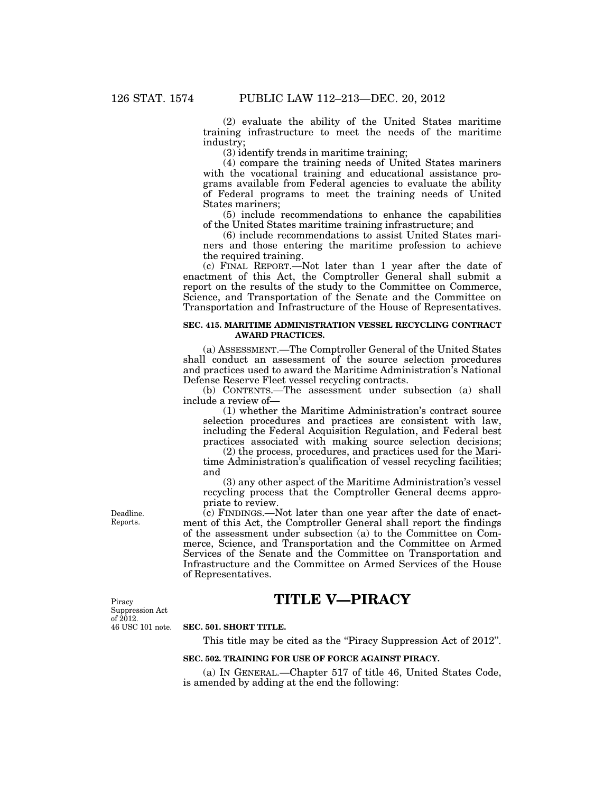(2) evaluate the ability of the United States maritime training infrastructure to meet the needs of the maritime industry;

(3) identify trends in maritime training;

(4) compare the training needs of United States mariners with the vocational training and educational assistance programs available from Federal agencies to evaluate the ability of Federal programs to meet the training needs of United States mariners;

(5) include recommendations to enhance the capabilities of the United States maritime training infrastructure; and

(6) include recommendations to assist United States mariners and those entering the maritime profession to achieve the required training.

(c) FINAL REPORT.—Not later than 1 year after the date of enactment of this Act, the Comptroller General shall submit a report on the results of the study to the Committee on Commerce, Science, and Transportation of the Senate and the Committee on Transportation and Infrastructure of the House of Representatives.

#### **SEC. 415. MARITIME ADMINISTRATION VESSEL RECYCLING CONTRACT AWARD PRACTICES.**

(a) ASSESSMENT.—The Comptroller General of the United States shall conduct an assessment of the source selection procedures and practices used to award the Maritime Administration's National Defense Reserve Fleet vessel recycling contracts.

(b) CONTENTS.—The assessment under subsection (a) shall include a review of—

(1) whether the Maritime Administration's contract source selection procedures and practices are consistent with law, including the Federal Acquisition Regulation, and Federal best practices associated with making source selection decisions;

(2) the process, procedures, and practices used for the Maritime Administration's qualification of vessel recycling facilities; and

(3) any other aspect of the Maritime Administration's vessel recycling process that the Comptroller General deems appropriate to review.

 $\overline{c}$ ) FINDINGS.—Not later than one year after the date of enactment of this Act, the Comptroller General shall report the findings of the assessment under subsection (a) to the Committee on Commerce, Science, and Transportation and the Committee on Armed Services of the Senate and the Committee on Transportation and Infrastructure and the Committee on Armed Services of the House of Representatives.

**TITLE V—PIRACY** 

46 USC 101 note. Piracy Suppression Act of 2012.

Deadline. Reports.

#### **SEC. 501. SHORT TITLE.**

This title may be cited as the "Piracy Suppression Act of 2012".

### **SEC. 502. TRAINING FOR USE OF FORCE AGAINST PIRACY.**

(a) IN GENERAL.—Chapter 517 of title 46, United States Code, is amended by adding at the end the following: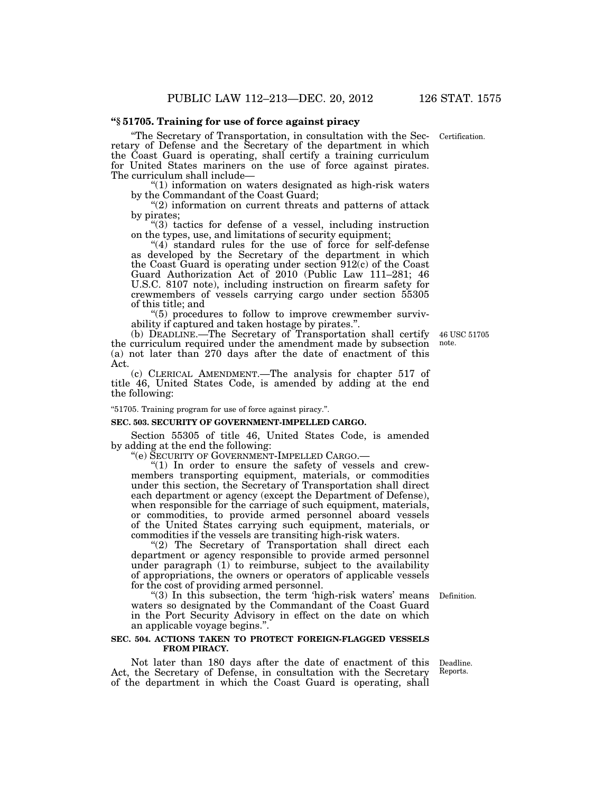#### **''§ 51705. Training for use of force against piracy**

''The Secretary of Transportation, in consultation with the Secretary of Defense and the Secretary of the department in which the Coast Guard is operating, shall certify a training curriculum for United States mariners on the use of force against pirates. The curriculum shall include—

''(1) information on waters designated as high-risk waters by the Commandant of the Coast Guard;

 $(2)$  information on current threats and patterns of attack by pirates;

''(3) tactics for defense of a vessel, including instruction on the types, use, and limitations of security equipment;

"(4) standard rules for the use of force for self-defense as developed by the Secretary of the department in which the Coast Guard is operating under section 912(c) of the Coast Guard Authorization Act of 2010 (Public Law 111–281; 46 U.S.C. 8107 note), including instruction on firearm safety for crewmembers of vessels carrying cargo under section 55305 of this title; and

''(5) procedures to follow to improve crewmember survivability if captured and taken hostage by pirates.''.

(b) DEADLINE.—The Secretary of Transportation shall certify the curriculum required under the amendment made by subsection (a) not later than 270 days after the date of enactment of this Act.

(c) CLERICAL AMENDMENT.—The analysis for chapter 517 of title 46, United States Code, is amended by adding at the end the following:

''51705. Training program for use of force against piracy.''.

#### **SEC. 503. SECURITY OF GOVERNMENT-IMPELLED CARGO.**

Section 55305 of title 46, United States Code, is amended by adding at the end the following:<br>"(e) SECURITY OF GOVERNMENT-IMPELLED CARGO.—

" $(1)$  In order to ensure the safety of vessels and crewmembers transporting equipment, materials, or commodities under this section, the Secretary of Transportation shall direct each department or agency (except the Department of Defense), when responsible for the carriage of such equipment, materials, or commodities, to provide armed personnel aboard vessels of the United States carrying such equipment, materials, or commodities if the vessels are transiting high-risk waters.

"(2) The Secretary of Transportation shall direct each department or agency responsible to provide armed personnel under paragraph (1) to reimburse, subject to the availability of appropriations, the owners or operators of applicable vessels for the cost of providing armed personnel.

Definition.

"(3) In this subsection, the term 'high-risk waters' means waters so designated by the Commandant of the Coast Guard in the Port Security Advisory in effect on the date on which an applicable voyage begins.''.

#### **SEC. 504. ACTIONS TAKEN TO PROTECT FOREIGN-FLAGGED VESSELS FROM PIRACY.**

Not later than 180 days after the date of enactment of this Act, the Secretary of Defense, in consultation with the Secretary of the department in which the Coast Guard is operating, shall

Deadline. Reports.

46 USC 51705 note.

Certification.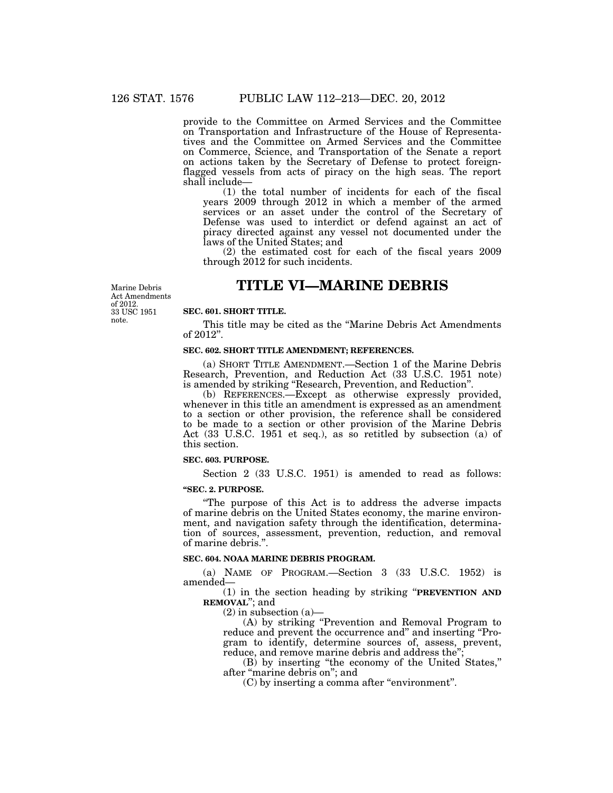provide to the Committee on Armed Services and the Committee on Transportation and Infrastructure of the House of Representatives and the Committee on Armed Services and the Committee on Commerce, Science, and Transportation of the Senate a report on actions taken by the Secretary of Defense to protect foreignflagged vessels from acts of piracy on the high seas. The report shall include—

(1) the total number of incidents for each of the fiscal years 2009 through 2012 in which a member of the armed services or an asset under the control of the Secretary of Defense was used to interdict or defend against an act of piracy directed against any vessel not documented under the laws of the United States; and

(2) the estimated cost for each of the fiscal years 2009 through 2012 for such incidents.

# **TITLE VI—MARINE DEBRIS**

Marine Debris Act Amendments of 2012. 33 USC 1951 note.

#### **SEC. 601. SHORT TITLE.**

This title may be cited as the ''Marine Debris Act Amendments of 2012''.

#### **SEC. 602. SHORT TITLE AMENDMENT; REFERENCES.**

(a) SHORT TITLE AMENDMENT.—Section 1 of the Marine Debris Research, Prevention, and Reduction Act (33 U.S.C. 1951 note) is amended by striking ''Research, Prevention, and Reduction''.

(b) REFERENCES.—Except as otherwise expressly provided, whenever in this title an amendment is expressed as an amendment to a section or other provision, the reference shall be considered to be made to a section or other provision of the Marine Debris Act (33 U.S.C. 1951 et seq.), as so retitled by subsection (a) of this section.

# **SEC. 603. PURPOSE.**

Section 2 (33 U.S.C. 1951) is amended to read as follows:

#### **''SEC. 2. PURPOSE.**

''The purpose of this Act is to address the adverse impacts of marine debris on the United States economy, the marine environment, and navigation safety through the identification, determination of sources, assessment, prevention, reduction, and removal of marine debris.''.

# **SEC. 604. NOAA MARINE DEBRIS PROGRAM.**

(a) NAME OF PROGRAM.—Section 3 (33 U.S.C. 1952) is amended—

(1) in the section heading by striking ''**PREVENTION AND REMOVAL**''; and

 $(2)$  in subsection  $(a)$ 

(A) by striking ''Prevention and Removal Program to reduce and prevent the occurrence and" and inserting "Program to identify, determine sources of, assess, prevent, reduce, and remove marine debris and address the"

(B) by inserting ''the economy of the United States,'' after ''marine debris on''; and

(C) by inserting a comma after ''environment''.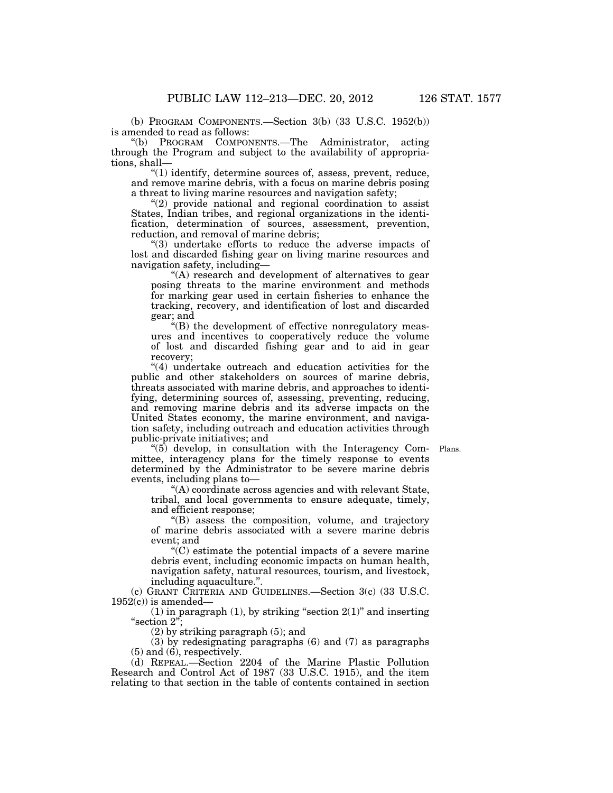(b) PROGRAM COMPONENTS.—Section 3(b) (33 U.S.C. 1952(b)) is amended to read as follows:<br>"(b) PROGRAM COMPOI

PROGRAM COMPONENTS.—The Administrator, acting through the Program and subject to the availability of appropriations, shall—

''(1) identify, determine sources of, assess, prevent, reduce, and remove marine debris, with a focus on marine debris posing a threat to living marine resources and navigation safety;

''(2) provide national and regional coordination to assist States, Indian tribes, and regional organizations in the identification, determination of sources, assessment, prevention, reduction, and removal of marine debris;

''(3) undertake efforts to reduce the adverse impacts of lost and discarded fishing gear on living marine resources and navigation safety, including—

''(A) research and development of alternatives to gear posing threats to the marine environment and methods for marking gear used in certain fisheries to enhance the tracking, recovery, and identification of lost and discarded gear; and

''(B) the development of effective nonregulatory measures and incentives to cooperatively reduce the volume of lost and discarded fishing gear and to aid in gear recovery;

"(4) undertake outreach and education activities for the public and other stakeholders on sources of marine debris, threats associated with marine debris, and approaches to identifying, determining sources of, assessing, preventing, reducing, and removing marine debris and its adverse impacts on the United States economy, the marine environment, and navigation safety, including outreach and education activities through public-private initiatives; and

"(5) develop, in consultation with the Interagency Com- Plans. mittee, interagency plans for the timely response to events determined by the Administrator to be severe marine debris events, including plans to—

''(A) coordinate across agencies and with relevant State, tribal, and local governments to ensure adequate, timely, and efficient response;

''(B) assess the composition, volume, and trajectory of marine debris associated with a severe marine debris event; and

 $C$ ) estimate the potential impacts of a severe marine debris event, including economic impacts on human health, navigation safety, natural resources, tourism, and livestock, including aquaculture.''.

(c) GRANT CRITERIA AND GUIDELINES.—Section 3(c) (33 U.S.C.  $1952(c)$  is amended—

(1) in paragraph (1), by striking "section  $2(1)$ " and inserting ''section 2'';

(2) by striking paragraph (5); and

(3) by redesignating paragraphs (6) and (7) as paragraphs (5) and (6), respectively.

(d) REPEAL.—Section 2204 of the Marine Plastic Pollution Research and Control Act of 1987 (33 U.S.C. 1915), and the item relating to that section in the table of contents contained in section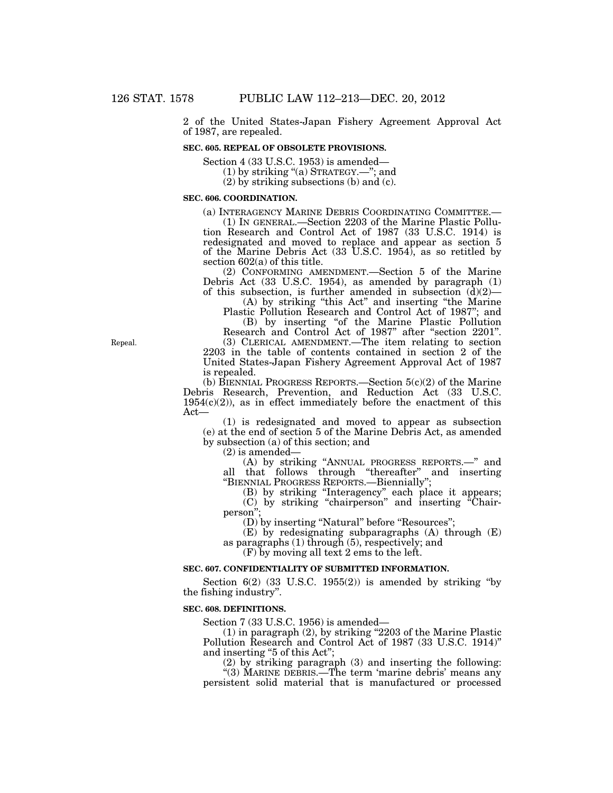2 of the United States-Japan Fishery Agreement Approval Act of 1987, are repealed.

# **SEC. 605. REPEAL OF OBSOLETE PROVISIONS.**

Section 4 (33 U.S.C. 1953) is amended—

(1) by striking "(a) STRATEGY.-"; and

(2) by striking subsections (b) and (c).

# **SEC. 606. COORDINATION.**

(a) INTERAGENCY MARINE DEBRIS COORDINATING COMMITTEE.— (1) IN GENERAL.—Section 2203 of the Marine Plastic Pollution Research and Control Act of 1987 (33 U.S.C. 1914) is redesignated and moved to replace and appear as section 5 of the Marine Debris Act (33 U.S.C. 1954), as so retitled by section 602(a) of this title.

(2) CONFORMING AMENDMENT.—Section 5 of the Marine Debris Act (33 U.S.C. 1954), as amended by paragraph (1) of this subsection, is further amended in subsection  $(d)(2)$ —

(A) by striking ''this Act'' and inserting ''the Marine

Plastic Pollution Research and Control Act of 1987''; and (B) by inserting ''of the Marine Plastic Pollution Research and Control Act of 1987'' after ''section 2201''.

(3) CLERICAL AMENDMENT.—The item relating to section 2203 in the table of contents contained in section 2 of the United States-Japan Fishery Agreement Approval Act of 1987 is repealed.

(b) BIENNIAL PROGRESS REPORTS.—Section 5(c)(2) of the Marine Debris Research, Prevention, and Reduction Act (33 U.S.C.  $1954(c)(2)$ , as in effect immediately before the enactment of this Act—

(1) is redesignated and moved to appear as subsection (e) at the end of section 5 of the Marine Debris Act, as amended by subsection (a) of this section; and

(2) is amended—

(A) by striking ''ANNUAL PROGRESS REPORTS.—'' and all that follows through ''thereafter'' and inserting ''BIENNIAL PROGRESS REPORTS.—Biennially'';

(B) by striking ''Interagency'' each place it appears; (C) by striking ''chairperson'' and inserting ''Chairperson'';

(D) by inserting "Natural" before "Resources";

(E) by redesignating subparagraphs (A) through (E) as paragraphs (1) through (5), respectively; and

(F) by moving all text 2 ems to the left.

#### **SEC. 607. CONFIDENTIALITY OF SUBMITTED INFORMATION.**

Section  $6(2)$   $(33 \text{ U.S.C. } 1955(2))$  is amended by striking "by the fishing industry''.

#### **SEC. 608. DEFINITIONS.**

Section 7 (33 U.S.C. 1956) is amended—

(1) in paragraph (2), by striking ''2203 of the Marine Plastic Pollution Research and Control Act of 1987 (33 U.S.C. 1914)'' and inserting "5 of this Act";

(2) by striking paragraph (3) and inserting the following:

''(3) MARINE DEBRIS.—The term 'marine debris' means any persistent solid material that is manufactured or processed

Repeal.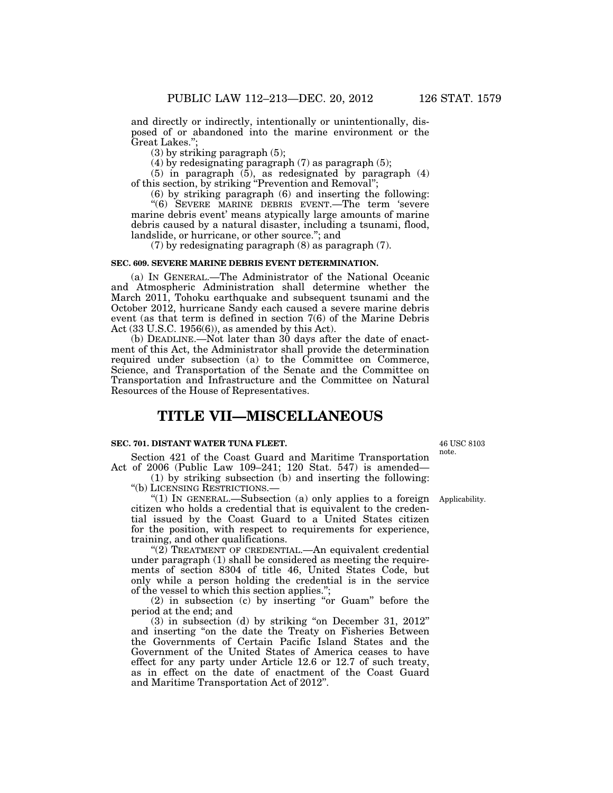and directly or indirectly, intentionally or unintentionally, disposed of or abandoned into the marine environment or the Great Lakes.'';

(3) by striking paragraph (5);

(4) by redesignating paragraph (7) as paragraph (5);

(5) in paragraph (5), as redesignated by paragraph (4) of this section, by striking ''Prevention and Removal'';

(6) by striking paragraph (6) and inserting the following: ''(6) SEVERE MARINE DEBRIS EVENT.—The term 'severe marine debris event' means atypically large amounts of marine debris caused by a natural disaster, including a tsunami, flood, landslide, or hurricane, or other source.''; and

(7) by redesignating paragraph (8) as paragraph (7).

# **SEC. 609. SEVERE MARINE DEBRIS EVENT DETERMINATION.**

(a) IN GENERAL.—The Administrator of the National Oceanic and Atmospheric Administration shall determine whether the March 2011, Tohoku earthquake and subsequent tsunami and the October 2012, hurricane Sandy each caused a severe marine debris event (as that term is defined in section 7(6) of the Marine Debris Act  $(33 \text{ U.S.C. } 1956(6))$ , as amended by this Act).

(b) DEADLINE.—Not later than 30 days after the date of enactment of this Act, the Administrator shall provide the determination required under subsection (a) to the Committee on Commerce, Science, and Transportation of the Senate and the Committee on Transportation and Infrastructure and the Committee on Natural Resources of the House of Representatives.

# **TITLE VII—MISCELLANEOUS**

# **SEC. 701. DISTANT WATER TUNA FLEET.**

Section 421 of the Coast Guard and Maritime Transportation Act of 2006 (Public Law 109–241; 120 Stat. 547) is amended—

(1) by striking subsection (b) and inserting the following: ''(b) LICENSING RESTRICTIONS.—

"(1) IN GENERAL.—Subsection (a) only applies to a foreign Applicability. citizen who holds a credential that is equivalent to the credential issued by the Coast Guard to a United States citizen for the position, with respect to requirements for experience, training, and other qualifications.

"(2) TREATMENT OF CREDENTIAL.—An equivalent credential under paragraph (1) shall be considered as meeting the requirements of section 8304 of title 46, United States Code, but only while a person holding the credential is in the service of the vessel to which this section applies.'';

(2) in subsection (c) by inserting ''or Guam'' before the period at the end; and

 $(3)$  in subsection  $(d)$  by striking "on December 31, 2012" and inserting ''on the date the Treaty on Fisheries Between the Governments of Certain Pacific Island States and the Government of the United States of America ceases to have effect for any party under Article 12.6 or 12.7 of such treaty, as in effect on the date of enactment of the Coast Guard and Maritime Transportation Act of 2012''.

46 USC 8103 note.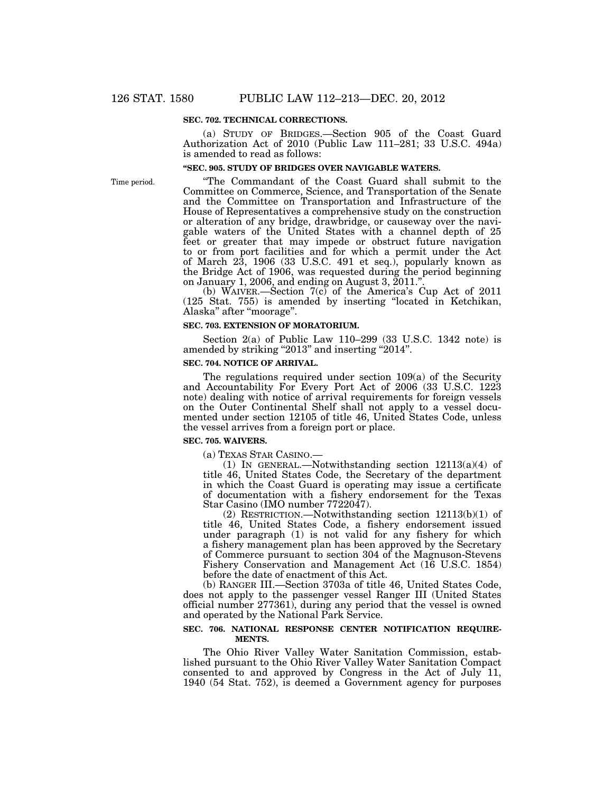#### **SEC. 702. TECHNICAL CORRECTIONS.**

(a) STUDY OF BRIDGES.—Section 905 of the Coast Guard Authorization Act of 2010 (Public Law 111–281; 33 U.S.C. 494a) is amended to read as follows:

# **''SEC. 905. STUDY OF BRIDGES OVER NAVIGABLE WATERS.**

Time period.

''The Commandant of the Coast Guard shall submit to the Committee on Commerce, Science, and Transportation of the Senate and the Committee on Transportation and Infrastructure of the House of Representatives a comprehensive study on the construction or alteration of any bridge, drawbridge, or causeway over the navigable waters of the United States with a channel depth of 25 feet or greater that may impede or obstruct future navigation to or from port facilities and for which a permit under the Act of March 23, 1906 (33 U.S.C. 491 et seq.), popularly known as the Bridge Act of 1906, was requested during the period beginning on January 1, 2006, and ending on August 3, 2011.''.

(b) WAIVER.—Section 7(c) of the America's Cup Act of 2011 (125 Stat. 755) is amended by inserting ''located in Ketchikan, Alaska'' after ''moorage''.

#### **SEC. 703. EXTENSION OF MORATORIUM.**

Section 2(a) of Public Law 110–299 (33 U.S.C. 1342 note) is amended by striking "2013" and inserting "2014".

# **SEC. 704. NOTICE OF ARRIVAL.**

The regulations required under section 109(a) of the Security and Accountability For Every Port Act of 2006 (33 U.S.C. 1223 note) dealing with notice of arrival requirements for foreign vessels on the Outer Continental Shelf shall not apply to a vessel documented under section 12105 of title 46, United States Code, unless the vessel arrives from a foreign port or place.

#### **SEC. 705. WAIVERS.**

(a) TEXAS STAR CASINO.—

(1) IN GENERAL.—Notwithstanding section  $12113(a)(4)$  of title 46, United States Code, the Secretary of the department in which the Coast Guard is operating may issue a certificate of documentation with a fishery endorsement for the Texas Star Casino (IMO number 7722047).

(2) RESTRICTION.—Notwithstanding section 12113(b)(1) of title 46, United States Code, a fishery endorsement issued under paragraph (1) is not valid for any fishery for which a fishery management plan has been approved by the Secretary of Commerce pursuant to section 304 of the Magnuson-Stevens Fishery Conservation and Management Act (16 U.S.C. 1854) before the date of enactment of this Act.

(b) RANGER III.—Section 3703a of title 46, United States Code, does not apply to the passenger vessel Ranger III (United States official number 277361), during any period that the vessel is owned and operated by the National Park Service.

#### **SEC. 706. NATIONAL RESPONSE CENTER NOTIFICATION REQUIRE-MENTS.**

The Ohio River Valley Water Sanitation Commission, established pursuant to the Ohio River Valley Water Sanitation Compact consented to and approved by Congress in the Act of July 11, 1940 (54 Stat. 752), is deemed a Government agency for purposes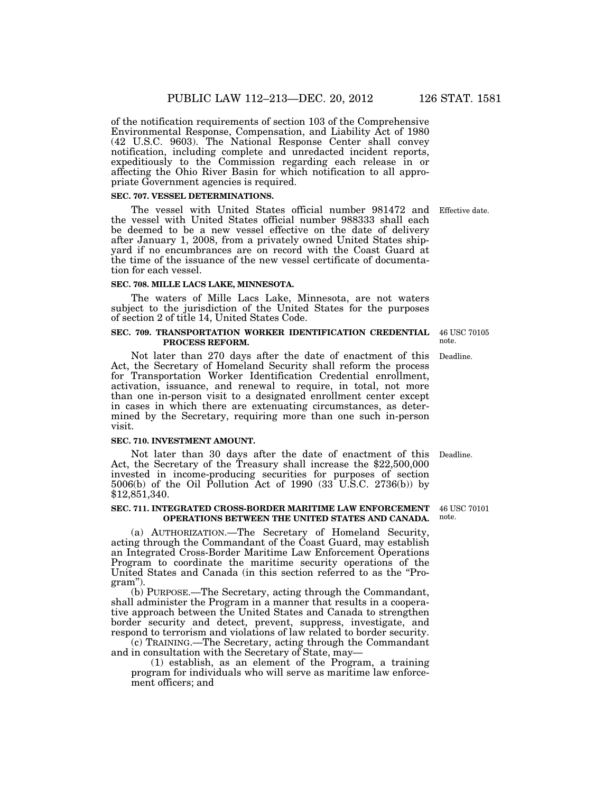of the notification requirements of section 103 of the Comprehensive Environmental Response, Compensation, and Liability Act of 1980 (42 U.S.C. 9603). The National Response Center shall convey notification, including complete and unredacted incident reports, expeditiously to the Commission regarding each release in or affecting the Ohio River Basin for which notification to all appropriate Government agencies is required.

#### **SEC. 707. VESSEL DETERMINATIONS.**

The vessel with United States official number 981472 and Effective date. the vessel with United States official number 988333 shall each be deemed to be a new vessel effective on the date of delivery after January 1, 2008, from a privately owned United States shipyard if no encumbrances are on record with the Coast Guard at the time of the issuance of the new vessel certificate of documentation for each vessel.

#### **SEC. 708. MILLE LACS LAKE, MINNESOTA.**

The waters of Mille Lacs Lake, Minnesota, are not waters subject to the jurisdiction of the United States for the purposes of section 2 of title 14, United States Code.

#### **SEC. 709. TRANSPORTATION WORKER IDENTIFICATION CREDENTIAL PROCESS REFORM.**

Not later than 270 days after the date of enactment of this Act, the Secretary of Homeland Security shall reform the process for Transportation Worker Identification Credential enrollment, activation, issuance, and renewal to require, in total, not more than one in-person visit to a designated enrollment center except in cases in which there are extenuating circumstances, as determined by the Secretary, requiring more than one such in-person visit.

#### **SEC. 710. INVESTMENT AMOUNT.**

Not later than 30 days after the date of enactment of this Act, the Secretary of the Treasury shall increase the \$22,500,000 invested in income-producing securities for purposes of section 5006(b) of the Oil Pollution Act of 1990 (33 U.S.C. 2736(b)) by \$12,851,340.

#### **SEC. 711. INTEGRATED CROSS-BORDER MARITIME LAW ENFORCEMENT**  46 USC 70101 **OPERATIONS BETWEEN THE UNITED STATES AND CANADA.**

(a) AUTHORIZATION.—The Secretary of Homeland Security, acting through the Commandant of the Coast Guard, may establish an Integrated Cross-Border Maritime Law Enforcement Operations Program to coordinate the maritime security operations of the United States and Canada (in this section referred to as the ''Program'').

(b) PURPOSE.—The Secretary, acting through the Commandant, shall administer the Program in a manner that results in a cooperative approach between the United States and Canada to strengthen border security and detect, prevent, suppress, investigate, and respond to terrorism and violations of law related to border security.

(c) TRAINING.—The Secretary, acting through the Commandant and in consultation with the Secretary of State, may—

(1) establish, as an element of the Program, a training program for individuals who will serve as maritime law enforcement officers; and

Deadline.

note.

46 USC 70105 note.

Deadline.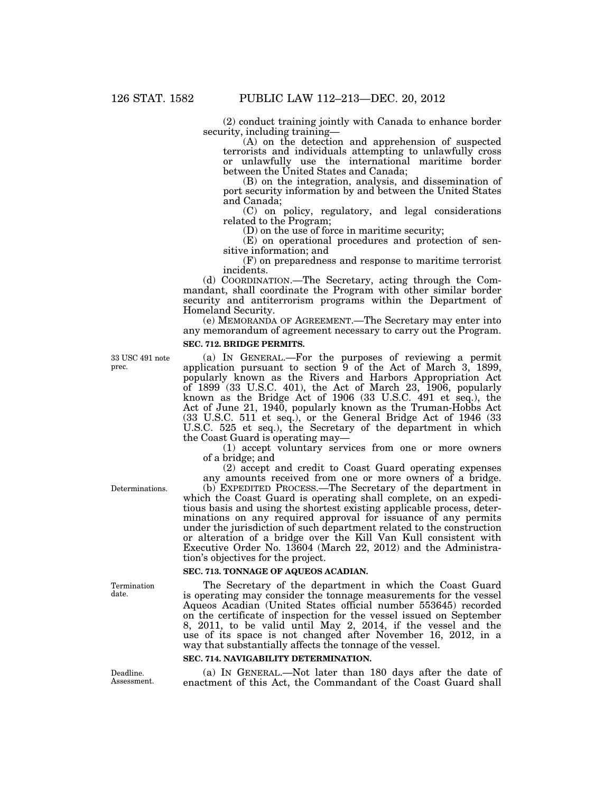(2) conduct training jointly with Canada to enhance border security, including training—

(A) on the detection and apprehension of suspected terrorists and individuals attempting to unlawfully cross or unlawfully use the international maritime border between the United States and Canada;

(B) on the integration, analysis, and dissemination of port security information by and between the United States and Canada;

(C) on policy, regulatory, and legal considerations related to the Program;

(D) on the use of force in maritime security;

(E) on operational procedures and protection of sensitive information; and

(F) on preparedness and response to maritime terrorist incidents.

(d) COORDINATION.—The Secretary, acting through the Commandant, shall coordinate the Program with other similar border security and antiterrorism programs within the Department of Homeland Security.

(e) MEMORANDA OF AGREEMENT.—The Secretary may enter into any memorandum of agreement necessary to carry out the Program. **SEC. 712. BRIDGE PERMITS.** 

33 USC 491 note prec.

(a) IN GENERAL.—For the purposes of reviewing a permit application pursuant to section 9 of the Act of March 3, 1899, popularly known as the Rivers and Harbors Appropriation Act of 1899 (33 U.S.C. 401), the Act of March 23, 1906, popularly known as the Bridge Act of 1906 (33 U.S.C. 491 et seq.), the Act of June 21, 1940, popularly known as the Truman-Hobbs Act (33 U.S.C. 511 et seq.), or the General Bridge Act of 1946 (33 U.S.C. 525 et seq.), the Secretary of the department in which the Coast Guard is operating may—

(1) accept voluntary services from one or more owners of a bridge; and

(2) accept and credit to Coast Guard operating expenses any amounts received from one or more owners of a bridge. (b) EXPEDITED PROCESS.—The Secretary of the department in

Determinations.

which the Coast Guard is operating shall complete, on an expeditious basis and using the shortest existing applicable process, determinations on any required approval for issuance of any permits under the jurisdiction of such department related to the construction or alteration of a bridge over the Kill Van Kull consistent with Executive Order No. 13604 (March 22, 2012) and the Administration's objectives for the project.

# **SEC. 713. TONNAGE OF AQUEOS ACADIAN.**

The Secretary of the department in which the Coast Guard is operating may consider the tonnage measurements for the vessel Aqueos Acadian (United States official number 553645) recorded on the certificate of inspection for the vessel issued on September 8, 2011, to be valid until May 2, 2014, if the vessel and the use of its space is not changed after November 16, 2012, in a way that substantially affects the tonnage of the vessel.

### **SEC. 714. NAVIGABILITY DETERMINATION.**

(a) IN GENERAL.—Not later than 180 days after the date of enactment of this Act, the Commandant of the Coast Guard shall

Deadline. Assessment.

Termination date.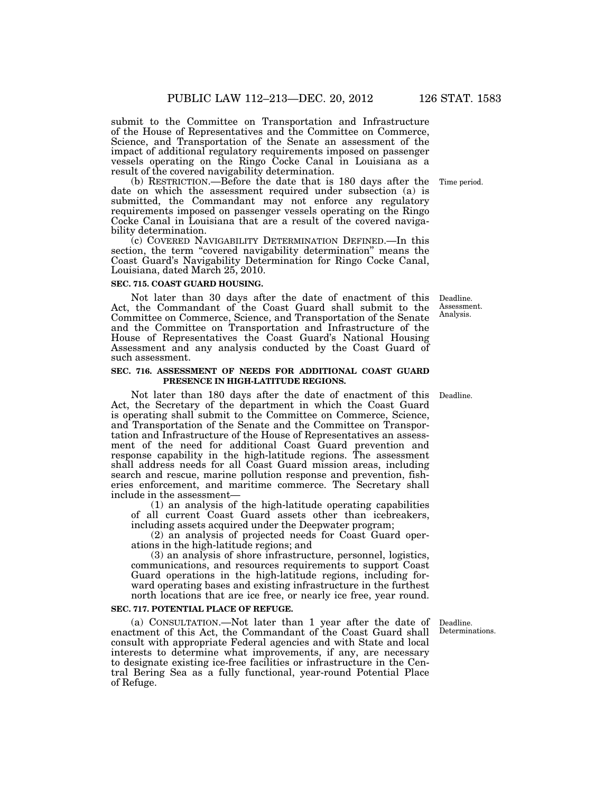submit to the Committee on Transportation and Infrastructure of the House of Representatives and the Committee on Commerce, Science, and Transportation of the Senate an assessment of the impact of additional regulatory requirements imposed on passenger vessels operating on the Ringo Cocke Canal in Louisiana as a result of the covered navigability determination.

(b) RESTRICTION.—Before the date that is 180 days after the date on which the assessment required under subsection (a) is submitted, the Commandant may not enforce any regulatory requirements imposed on passenger vessels operating on the Ringo Cocke Canal in Louisiana that are a result of the covered navigability determination.

(c) COVERED NAVIGABILITY DETERMINATION DEFINED.—In this section, the term "covered navigability determination" means the Coast Guard's Navigability Determination for Ringo Cocke Canal, Louisiana, dated March 25, 2010.

#### **SEC. 715. COAST GUARD HOUSING.**

Not later than 30 days after the date of enactment of this Act, the Commandant of the Coast Guard shall submit to the Committee on Commerce, Science, and Transportation of the Senate and the Committee on Transportation and Infrastructure of the House of Representatives the Coast Guard's National Housing Assessment and any analysis conducted by the Coast Guard of such assessment.

### **SEC. 716. ASSESSMENT OF NEEDS FOR ADDITIONAL COAST GUARD PRESENCE IN HIGH-LATITUDE REGIONS.**

Not later than 180 days after the date of enactment of this Deadline. Act, the Secretary of the department in which the Coast Guard is operating shall submit to the Committee on Commerce, Science, and Transportation of the Senate and the Committee on Transportation and Infrastructure of the House of Representatives an assessment of the need for additional Coast Guard prevention and response capability in the high-latitude regions. The assessment shall address needs for all Coast Guard mission areas, including search and rescue, marine pollution response and prevention, fisheries enforcement, and maritime commerce. The Secretary shall include in the assessment—

(1) an analysis of the high-latitude operating capabilities of all current Coast Guard assets other than icebreakers, including assets acquired under the Deepwater program;

(2) an analysis of projected needs for Coast Guard operations in the high-latitude regions; and

(3) an analysis of shore infrastructure, personnel, logistics, communications, and resources requirements to support Coast Guard operations in the high-latitude regions, including forward operating bases and existing infrastructure in the furthest north locations that are ice free, or nearly ice free, year round.

#### **SEC. 717. POTENTIAL PLACE OF REFUGE.**

(a) CONSULTATION.—Not later than 1 year after the date of enactment of this Act, the Commandant of the Coast Guard shall consult with appropriate Federal agencies and with State and local interests to determine what improvements, if any, are necessary to designate existing ice-free facilities or infrastructure in the Central Bering Sea as a fully functional, year-round Potential Place of Refuge.

Deadline. Determinations.

Deadline. Assessment. Analysis.

Time period.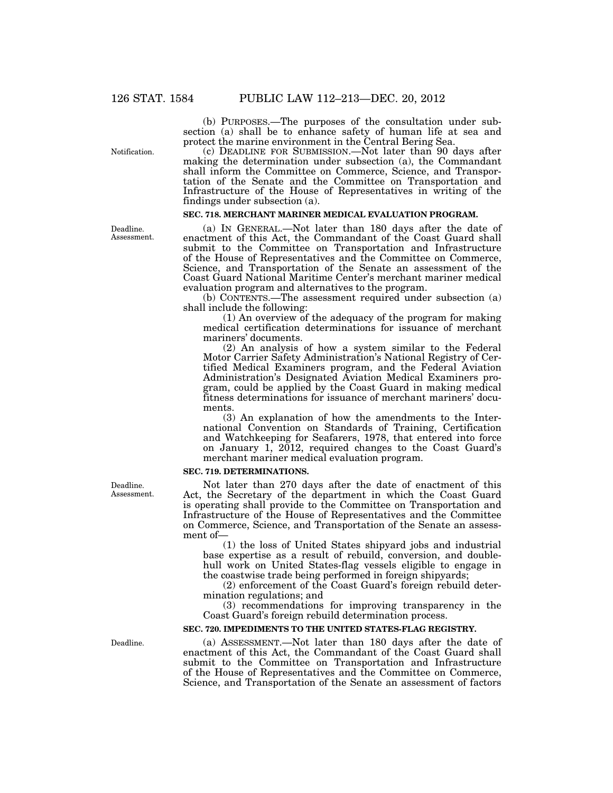(b) PURPOSES.—The purposes of the consultation under subsection (a) shall be to enhance safety of human life at sea and protect the marine environment in the Central Bering Sea.

(c) DEADLINE FOR SUBMISSION.—Not later than 90 days after making the determination under subsection (a), the Commandant shall inform the Committee on Commerce, Science, and Transportation of the Senate and the Committee on Transportation and Infrastructure of the House of Representatives in writing of the findings under subsection (a).

# **SEC. 718. MERCHANT MARINER MEDICAL EVALUATION PROGRAM.**

(a) IN GENERAL.—Not later than 180 days after the date of enactment of this Act, the Commandant of the Coast Guard shall submit to the Committee on Transportation and Infrastructure of the House of Representatives and the Committee on Commerce, Science, and Transportation of the Senate an assessment of the Coast Guard National Maritime Center's merchant mariner medical evaluation program and alternatives to the program.

(b) CONTENTS.—The assessment required under subsection (a) shall include the following:

(1) An overview of the adequacy of the program for making medical certification determinations for issuance of merchant mariners' documents.

(2) An analysis of how a system similar to the Federal Motor Carrier Safety Administration's National Registry of Certified Medical Examiners program, and the Federal Aviation Administration's Designated Aviation Medical Examiners program, could be applied by the Coast Guard in making medical fitness determinations for issuance of merchant mariners' documents.

(3) An explanation of how the amendments to the International Convention on Standards of Training, Certification and Watchkeeping for Seafarers, 1978, that entered into force on January 1, 2012, required changes to the Coast Guard's merchant mariner medical evaluation program.

#### **SEC. 719. DETERMINATIONS.**

Not later than 270 days after the date of enactment of this Act, the Secretary of the department in which the Coast Guard is operating shall provide to the Committee on Transportation and Infrastructure of the House of Representatives and the Committee on Commerce, Science, and Transportation of the Senate an assessment of—

(1) the loss of United States shipyard jobs and industrial base expertise as a result of rebuild, conversion, and doublehull work on United States-flag vessels eligible to engage in the coastwise trade being performed in foreign shipyards;

(2) enforcement of the Coast Guard's foreign rebuild determination regulations; and

(3) recommendations for improving transparency in the Coast Guard's foreign rebuild determination process.

#### **SEC. 720. IMPEDIMENTS TO THE UNITED STATES-FLAG REGISTRY.**

(a) ASSESSMENT.—Not later than 180 days after the date of enactment of this Act, the Commandant of the Coast Guard shall submit to the Committee on Transportation and Infrastructure of the House of Representatives and the Committee on Commerce, Science, and Transportation of the Senate an assessment of factors

Notification.

Deadline. Assessment.

Deadline. Assessment.

Deadline.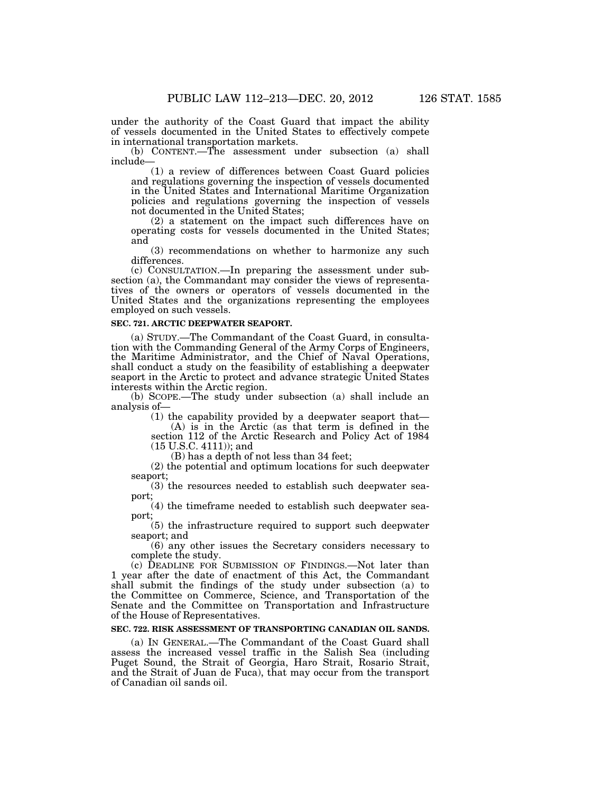under the authority of the Coast Guard that impact the ability of vessels documented in the United States to effectively compete

in international transportation markets.

(b) CONTENT.—The assessment under subsection (a) shall include—

(1) a review of differences between Coast Guard policies and regulations governing the inspection of vessels documented in the United States and International Maritime Organization policies and regulations governing the inspection of vessels not documented in the United States;

(2) a statement on the impact such differences have on operating costs for vessels documented in the United States; and

(3) recommendations on whether to harmonize any such differences.

(c) CONSULTATION.—In preparing the assessment under subsection (a), the Commandant may consider the views of representatives of the owners or operators of vessels documented in the United States and the organizations representing the employees employed on such vessels.

#### **SEC. 721. ARCTIC DEEPWATER SEAPORT.**

(a) STUDY.—The Commandant of the Coast Guard, in consultation with the Commanding General of the Army Corps of Engineers, the Maritime Administrator, and the Chief of Naval Operations, shall conduct a study on the feasibility of establishing a deepwater seaport in the Arctic to protect and advance strategic United States interests within the Arctic region.

(b) SCOPE.—The study under subsection (a) shall include an analysis of—

(1) the capability provided by a deepwater seaport that— (A) is in the Arctic (as that term is defined in the

section 112 of the Arctic Research and Policy Act of 1984 (15 U.S.C. 4111)); and

(B) has a depth of not less than 34 feet;

(2) the potential and optimum locations for such deepwater seaport;

(3) the resources needed to establish such deepwater seaport;

(4) the timeframe needed to establish such deepwater seaport;

(5) the infrastructure required to support such deepwater seaport; and

(6) any other issues the Secretary considers necessary to complete the study.

(c) DEADLINE FOR SUBMISSION OF FINDINGS.—Not later than 1 year after the date of enactment of this Act, the Commandant shall submit the findings of the study under subsection (a) to the Committee on Commerce, Science, and Transportation of the Senate and the Committee on Transportation and Infrastructure of the House of Representatives.

# **SEC. 722. RISK ASSESSMENT OF TRANSPORTING CANADIAN OIL SANDS.**

(a) IN GENERAL.—The Commandant of the Coast Guard shall assess the increased vessel traffic in the Salish Sea (including Puget Sound, the Strait of Georgia, Haro Strait, Rosario Strait, and the Strait of Juan de Fuca), that may occur from the transport of Canadian oil sands oil.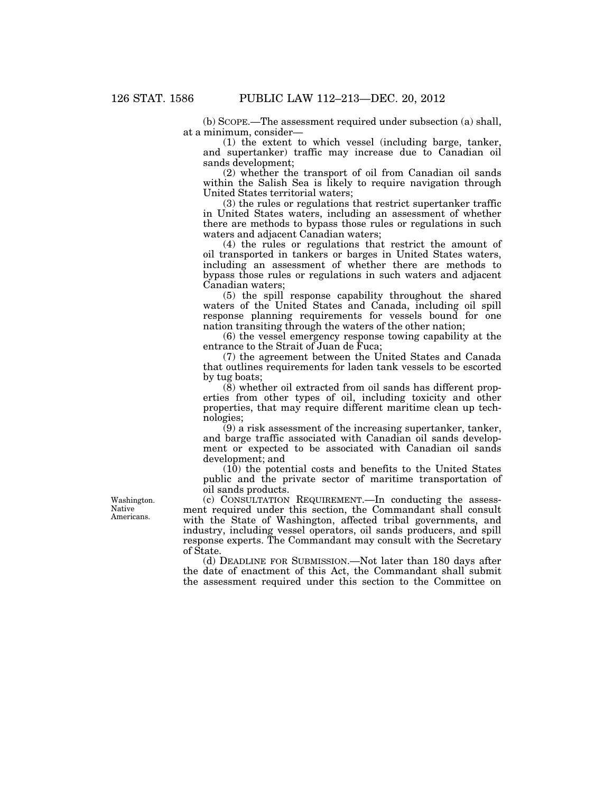(b) SCOPE.—The assessment required under subsection (a) shall, at a minimum, consider—

(1) the extent to which vessel (including barge, tanker, and supertanker) traffic may increase due to Canadian oil sands development;

(2) whether the transport of oil from Canadian oil sands within the Salish Sea is likely to require navigation through United States territorial waters;

(3) the rules or regulations that restrict supertanker traffic in United States waters, including an assessment of whether there are methods to bypass those rules or regulations in such waters and adjacent Canadian waters;

(4) the rules or regulations that restrict the amount of oil transported in tankers or barges in United States waters, including an assessment of whether there are methods to bypass those rules or regulations in such waters and adjacent Canadian waters;

(5) the spill response capability throughout the shared waters of the United States and Canada, including oil spill response planning requirements for vessels bound for one nation transiting through the waters of the other nation;

(6) the vessel emergency response towing capability at the entrance to the Strait of Juan de Fuca;

(7) the agreement between the United States and Canada that outlines requirements for laden tank vessels to be escorted by tug boats;

(8) whether oil extracted from oil sands has different properties from other types of oil, including toxicity and other properties, that may require different maritime clean up technologies;

(9) a risk assessment of the increasing supertanker, tanker, and barge traffic associated with Canadian oil sands development or expected to be associated with Canadian oil sands development; and

(10) the potential costs and benefits to the United States public and the private sector of maritime transportation of oil sands products.

(c) CONSULTATION REQUIREMENT.—In conducting the assessment required under this section, the Commandant shall consult with the State of Washington, affected tribal governments, and industry, including vessel operators, oil sands producers, and spill response experts. The Commandant may consult with the Secretary of State.

(d) DEADLINE FOR SUBMISSION.—Not later than 180 days after the date of enactment of this Act, the Commandant shall submit the assessment required under this section to the Committee on

Washington. Native Americans.